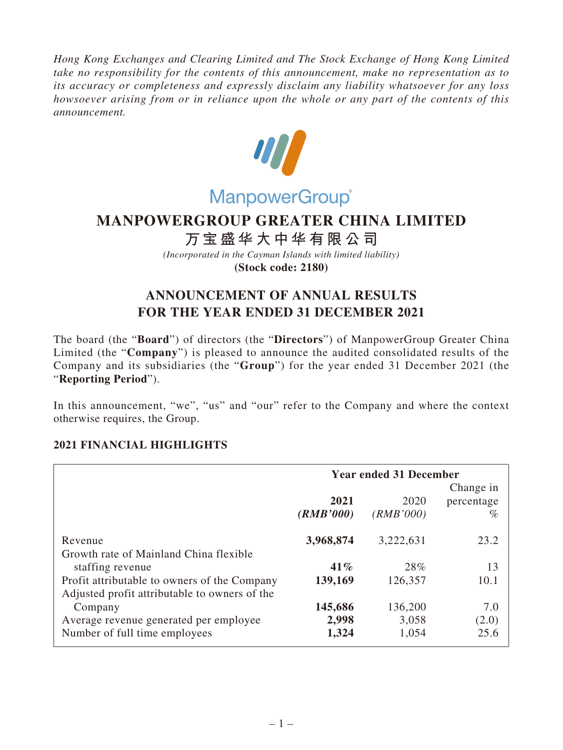*Hong Kong Exchanges and Clearing Limited and The Stock Exchange of Hong Kong Limited take no responsibility for the contents of this announcement, make no representation as to its accuracy or completeness and expressly disclaim any liability whatsoever for any loss howsoever arising from or in reliance upon the whole or any part of the contents of this announcement.*



# **MANPOWERGROUP GREATER CHINA LIMITED**

# **万宝盛华大中华有限公司**

*(Incorporated in the Cayman Islands with limited liability)* **(Stock code: 2180)**

# **ANNOUNCEMENT OF ANNUAL RESULTS FOR THE YEAR ENDED 31 DECEMBER 2021**

The board (the "**Board**") of directors (the "**Directors**") of ManpowerGroup Greater China Limited (the "**Company**") is pleased to announce the audited consolidated results of the Company and its subsidiaries (the "**Group**") for the year ended 31 December 2021 (the "**Reporting Period**").

In this announcement, "we", "us" and "our" refer to the Company and where the context otherwise requires, the Group.

# **2021 FINANCIAL HIGHLIGHTS**

|                                                                                               | <b>Year ended 31 December</b> |                   |                                 |  |
|-----------------------------------------------------------------------------------------------|-------------------------------|-------------------|---------------------------------|--|
|                                                                                               | 2021<br>(RMB'000)             | 2020<br>(RMB'000) | Change in<br>percentage<br>$\%$ |  |
| Revenue<br>Growth rate of Mainland China flexible                                             | 3,968,874                     | 3,222,631         | 23.2                            |  |
| staffing revenue                                                                              | 41%                           | 28%               | 13                              |  |
| Profit attributable to owners of the Company<br>Adjusted profit attributable to owners of the | 139,169                       | 126,357           | 10.1                            |  |
| Company                                                                                       | 145,686                       | 136,200           | 7.0                             |  |
| Average revenue generated per employee                                                        | 2,998                         | 3,058             | (2.0)                           |  |
| Number of full time employees                                                                 | 1,324                         | 1,054             | 25.6                            |  |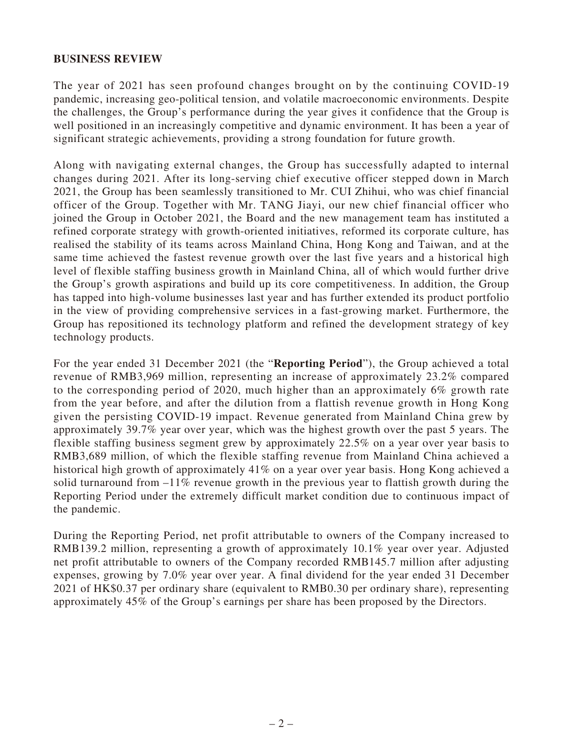## **BUSINESS REVIEW**

The year of 2021 has seen profound changes brought on by the continuing COVID-19 pandemic, increasing geo-political tension, and volatile macroeconomic environments. Despite the challenges, the Group's performance during the year gives it confidence that the Group is well positioned in an increasingly competitive and dynamic environment. It has been a year of significant strategic achievements, providing a strong foundation for future growth.

Along with navigating external changes, the Group has successfully adapted to internal changes during 2021. After its long-serving chief executive officer stepped down in March 2021, the Group has been seamlessly transitioned to Mr. CUI Zhihui, who was chief financial officer of the Group. Together with Mr. TANG Jiayi, our new chief financial officer who joined the Group in October 2021, the Board and the new management team has instituted a refined corporate strategy with growth-oriented initiatives, reformed its corporate culture, has realised the stability of its teams across Mainland China, Hong Kong and Taiwan, and at the same time achieved the fastest revenue growth over the last five years and a historical high level of flexible staffing business growth in Mainland China, all of which would further drive the Group's growth aspirations and build up its core competitiveness. In addition, the Group has tapped into high-volume businesses last year and has further extended its product portfolio in the view of providing comprehensive services in a fast-growing market. Furthermore, the Group has repositioned its technology platform and refined the development strategy of key technology products.

For the year ended 31 December 2021 (the "**Reporting Period**"), the Group achieved a total revenue of RMB3,969 million, representing an increase of approximately 23.2% compared to the corresponding period of 2020, much higher than an approximately 6% growth rate from the year before, and after the dilution from a flattish revenue growth in Hong Kong given the persisting COVID-19 impact. Revenue generated from Mainland China grew by approximately 39.7% year over year, which was the highest growth over the past 5 years. The flexible staffing business segment grew by approximately 22.5% on a year over year basis to RMB3,689 million, of which the flexible staffing revenue from Mainland China achieved a historical high growth of approximately 41% on a year over year basis. Hong Kong achieved a solid turnaround from  $-11\%$  revenue growth in the previous year to flattish growth during the Reporting Period under the extremely difficult market condition due to continuous impact of the pandemic.

During the Reporting Period, net profit attributable to owners of the Company increased to RMB139.2 million, representing a growth of approximately 10.1% year over year. Adjusted net profit attributable to owners of the Company recorded RMB145.7 million after adjusting expenses, growing by 7.0% year over year. A final dividend for the year ended 31 December 2021 of HK\$0.37 per ordinary share (equivalent to RMB0.30 per ordinary share), representing approximately 45% of the Group's earnings per share has been proposed by the Directors.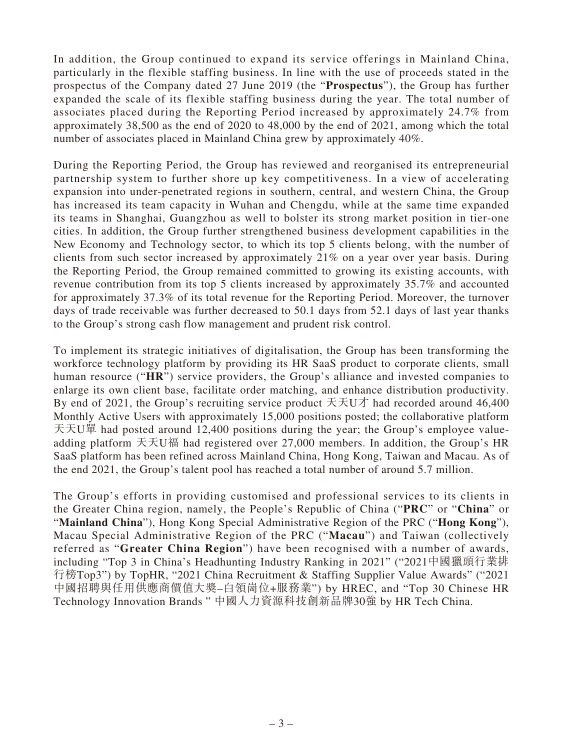In addition, the Group continued to expand its service offerings in Mainland China, particularly in the flexible staffing business. In line with the use of proceeds stated in the prospectus of the Company dated 27 June 2019 (the "**Prospectus**"), the Group has further expanded the scale of its flexible staffing business during the year. The total number of associates placed during the Reporting Period increased by approximately 24.7% from approximately 38,500 as the end of 2020 to 48,000 by the end of 2021, among which the total number of associates placed in Mainland China grew by approximately 40%.

During the Reporting Period, the Group has reviewed and reorganised its entrepreneurial partnership system to further shore up key competitiveness. In a view of accelerating expansion into under-penetrated regions in southern, central, and western China, the Group has increased its team capacity in Wuhan and Chengdu, while at the same time expanded its teams in Shanghai, Guangzhou as well to bolster its strong market position in tier-one cities. In addition, the Group further strengthened business development capabilities in the New Economy and Technology sector, to which its top 5 clients belong, with the number of clients from such sector increased by approximately 21% on a year over year basis. During the Reporting Period, the Group remained committed to growing its existing accounts, with revenue contribution from its top 5 clients increased by approximately 35.7% and accounted for approximately 37.3% of its total revenue for the Reporting Period. Moreover, the turnover days of trade receivable was further decreased to 50.1 days from 52.1 days of last year thanks to the Group's strong cash flow management and prudent risk control.

To implement its strategic initiatives of digitalisation, the Group has been transforming the workforce technology platform by providing its HR SaaS product to corporate clients, small human resource ("**HR**") service providers, the Group's alliance and invested companies to enlarge its own client base, facilitate order matching, and enhance distribution productivity. By end of 2021, the Group's recruiting service product  $\pm \pm \pm 0$  had recorded around 46,400 Monthly Active Users with approximately 15,000 positions posted; the collaborative platform 天天U單 had posted around 12,400 positions during the year; the Group's employee valueadding platform 天天U福 had registered over 27,000 members. In addition, the Group's HR SaaS platform has been refined across Mainland China, Hong Kong, Taiwan and Macau. As of the end 2021, the Group's talent pool has reached a total number of around 5.7 million.

The Group's efforts in providing customised and professional services to its clients in the Greater China region, namely, the People's Republic of China ("**PRC**" or "**China**" or "**Mainland China**"), Hong Kong Special Administrative Region of the PRC ("**Hong Kong**"), Macau Special Administrative Region of the PRC ("**Macau**") and Taiwan (collectively referred as "**Greater China Region**") have been recognised with a number of awards, including "Top 3 in China's Headhunting Industry Ranking in 2021" ("2021中國獵頭行業排 行榜Top3") by TopHR, "2021 China Recruitment & Staffing Supplier Value Awards" ("2021 中國招聘與任用供應商價值大獎–白領崗位+服務業") by HREC, and "Top 30 Chinese HR Technology Innovation Brands " 中國人力資源科技創新品牌30強 by HR Tech China.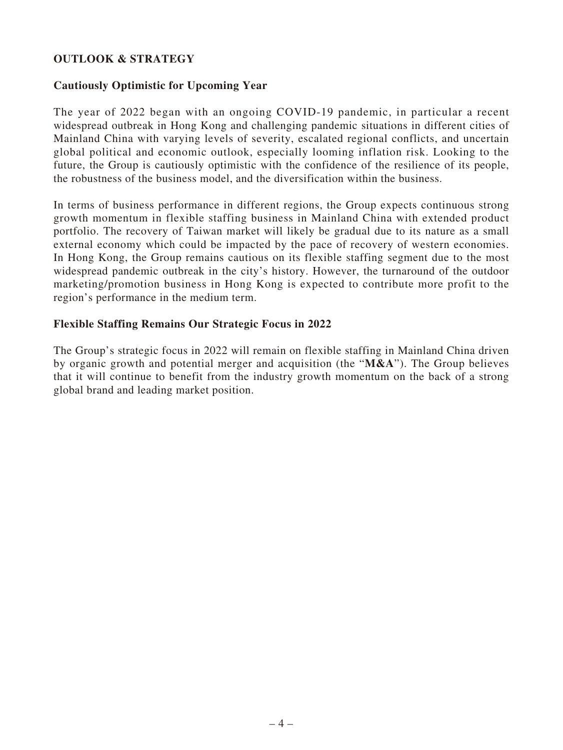# **OUTLOOK & STRATEGY**

## **Cautiously Optimistic for Upcoming Year**

The year of 2022 began with an ongoing COVID-19 pandemic, in particular a recent widespread outbreak in Hong Kong and challenging pandemic situations in different cities of Mainland China with varying levels of severity, escalated regional conflicts, and uncertain global political and economic outlook, especially looming inflation risk. Looking to the future, the Group is cautiously optimistic with the confidence of the resilience of its people, the robustness of the business model, and the diversification within the business.

In terms of business performance in different regions, the Group expects continuous strong growth momentum in flexible staffing business in Mainland China with extended product portfolio. The recovery of Taiwan market will likely be gradual due to its nature as a small external economy which could be impacted by the pace of recovery of western economies. In Hong Kong, the Group remains cautious on its flexible staffing segment due to the most widespread pandemic outbreak in the city's history. However, the turnaround of the outdoor marketing/promotion business in Hong Kong is expected to contribute more profit to the region's performance in the medium term.

## **Flexible Staffing Remains Our Strategic Focus in 2022**

The Group's strategic focus in 2022 will remain on flexible staffing in Mainland China driven by organic growth and potential merger and acquisition (the "**M&A**"). The Group believes that it will continue to benefit from the industry growth momentum on the back of a strong global brand and leading market position.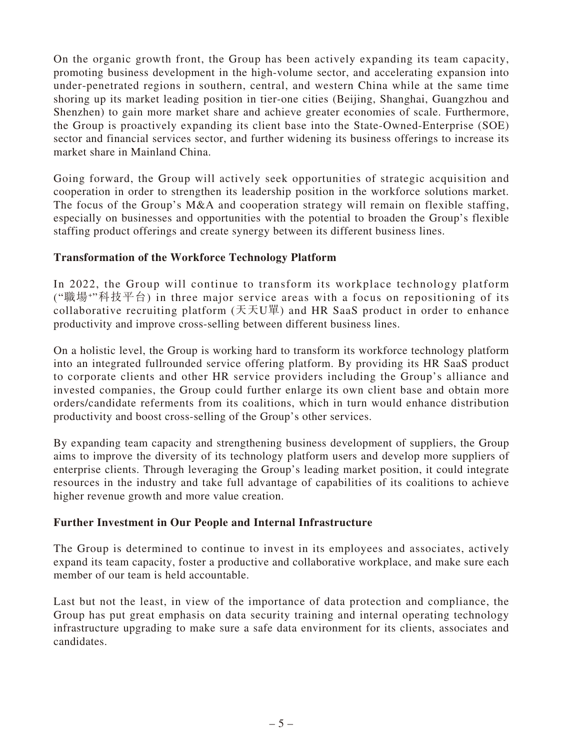On the organic growth front, the Group has been actively expanding its team capacity, promoting business development in the high-volume sector, and accelerating expansion into under-penetrated regions in southern, central, and western China while at the same time shoring up its market leading position in tier-one cities (Beijing, Shanghai, Guangzhou and Shenzhen) to gain more market share and achieve greater economies of scale. Furthermore, the Group is proactively expanding its client base into the State-Owned-Enterprise (SOE) sector and financial services sector, and further widening its business offerings to increase its market share in Mainland China.

Going forward, the Group will actively seek opportunities of strategic acquisition and cooperation in order to strengthen its leadership position in the workforce solutions market. The focus of the Group's M&A and cooperation strategy will remain on flexible staffing, especially on businesses and opportunities with the potential to broaden the Group's flexible staffing product offerings and create synergy between its different business lines.

# **Transformation of the Workforce Technology Platform**

In 2022, the Group will continue to transform its workplace technology platform ("職場+"科技平台) in three major service areas with a focus on repositioning of its collaborative recruiting platform  $( \nabla \times \mathcal{F} \cup \mathcal{F})$  and HR SaaS product in order to enhance productivity and improve cross-selling between different business lines.

On a holistic level, the Group is working hard to transform its workforce technology platform into an integrated fullrounded service offering platform. By providing its HR SaaS product to corporate clients and other HR service providers including the Group's alliance and invested companies, the Group could further enlarge its own client base and obtain more orders/candidate referments from its coalitions, which in turn would enhance distribution productivity and boost cross-selling of the Group's other services.

By expanding team capacity and strengthening business development of suppliers, the Group aims to improve the diversity of its technology platform users and develop more suppliers of enterprise clients. Through leveraging the Group's leading market position, it could integrate resources in the industry and take full advantage of capabilities of its coalitions to achieve higher revenue growth and more value creation.

## **Further Investment in Our People and Internal Infrastructure**

The Group is determined to continue to invest in its employees and associates, actively expand its team capacity, foster a productive and collaborative workplace, and make sure each member of our team is held accountable.

Last but not the least, in view of the importance of data protection and compliance, the Group has put great emphasis on data security training and internal operating technology infrastructure upgrading to make sure a safe data environment for its clients, associates and candidates.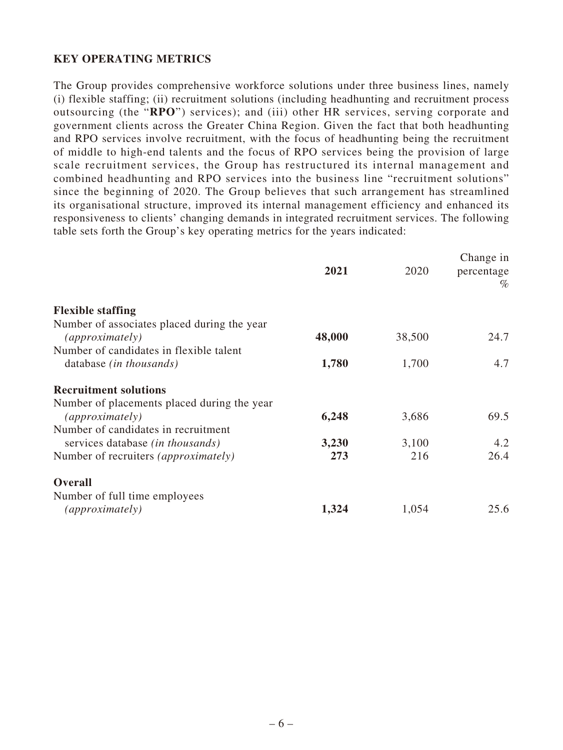# **KEY OPERATING METRICS**

The Group provides comprehensive workforce solutions under three business lines, namely (i) flexible staffing; (ii) recruitment solutions (including headhunting and recruitment process outsourcing (the "**RPO**") services); and (iii) other HR services, serving corporate and government clients across the Greater China Region. Given the fact that both headhunting and RPO services involve recruitment, with the focus of headhunting being the recruitment of middle to high-end talents and the focus of RPO services being the provision of large scale recruitment services, the Group has restructured its internal management and combined headhunting and RPO services into the business line "recruitment solutions" since the beginning of 2020. The Group believes that such arrangement has streamlined its organisational structure, improved its internal management efficiency and enhanced its responsiveness to clients' changing demands in integrated recruitment services. The following table sets forth the Group's key operating metrics for the years indicated:

|                                             | 2021   | 2020   | Change in<br>percentage<br>$\%$ |
|---------------------------------------------|--------|--------|---------------------------------|
| <b>Flexible staffing</b>                    |        |        |                                 |
| Number of associates placed during the year |        |        |                                 |
| (approximately)                             | 48,000 | 38,500 | 24.7                            |
| Number of candidates in flexible talent     |        |        |                                 |
| database (in thousands)                     | 1,780  | 1,700  | 4.7                             |
| <b>Recruitment solutions</b>                |        |        |                                 |
| Number of placements placed during the year |        |        |                                 |
| (approximately)                             | 6,248  | 3,686  | 69.5                            |
| Number of candidates in recruitment         |        |        |                                 |
| services database <i>(in thousands)</i>     | 3,230  | 3,100  | 4.2                             |
| Number of recruiters <i>(approximately)</i> | 273    | 216    | 26.4                            |
| <b>Overall</b>                              |        |        |                                 |
| Number of full time employees               |        |        |                                 |
| (approximately)                             | 1,324  | 1,054  | 25.6                            |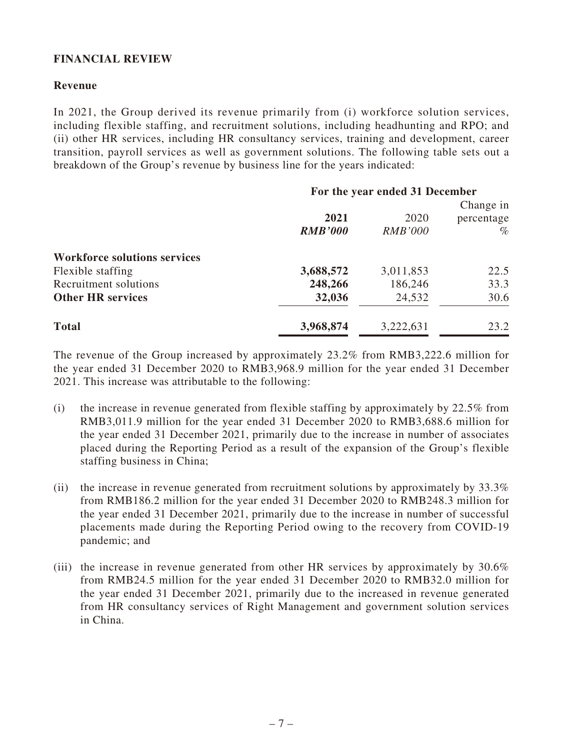# **FINANCIAL REVIEW**

## **Revenue**

In 2021, the Group derived its revenue primarily from (i) workforce solution services, including flexible staffing, and recruitment solutions, including headhunting and RPO; and (ii) other HR services, including HR consultancy services, training and development, career transition, payroll services as well as government solutions. The following table sets out a breakdown of the Group's revenue by business line for the years indicated:

|                                     | For the year ended 31 December |                |            |  |
|-------------------------------------|--------------------------------|----------------|------------|--|
|                                     |                                |                | Change in  |  |
|                                     | 2021                           | 2020           | percentage |  |
|                                     | <b>RMB'000</b>                 | <b>RMB'000</b> | $\%$       |  |
| <b>Workforce solutions services</b> |                                |                |            |  |
| Flexible staffing                   | 3,688,572                      | 3,011,853      | 22.5       |  |
| Recruitment solutions               | 248,266                        | 186,246        | 33.3       |  |
| <b>Other HR services</b>            | 32,036                         | 24,532         | 30.6       |  |
| <b>Total</b>                        | 3,968,874                      | 3,222,631      | 23.2       |  |

The revenue of the Group increased by approximately 23.2% from RMB3,222.6 million for the year ended 31 December 2020 to RMB3,968.9 million for the year ended 31 December 2021. This increase was attributable to the following:

- (i) the increase in revenue generated from flexible staffing by approximately by 22.5% from RMB3,011.9 million for the year ended 31 December 2020 to RMB3,688.6 million for the year ended 31 December 2021, primarily due to the increase in number of associates placed during the Reporting Period as a result of the expansion of the Group's flexible staffing business in China;
- (ii) the increase in revenue generated from recruitment solutions by approximately by  $33.3\%$ from RMB186.2 million for the year ended 31 December 2020 to RMB248.3 million for the year ended 31 December 2021, primarily due to the increase in number of successful placements made during the Reporting Period owing to the recovery from COVID-19 pandemic; and
- (iii) the increase in revenue generated from other HR services by approximately by  $30.6\%$ from RMB24.5 million for the year ended 31 December 2020 to RMB32.0 million for the year ended 31 December 2021, primarily due to the increased in revenue generated from HR consultancy services of Right Management and government solution services in China.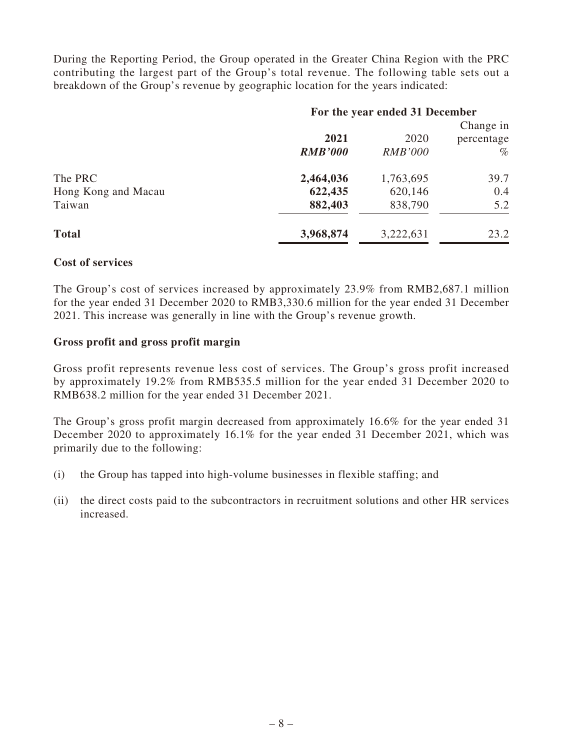During the Reporting Period, the Group operated in the Greater China Region with the PRC contributing the largest part of the Group's total revenue. The following table sets out a breakdown of the Group's revenue by geographic location for the years indicated:

|                     | For the year ended 31 December |                |            |  |
|---------------------|--------------------------------|----------------|------------|--|
|                     |                                |                | Change in  |  |
|                     | 2021                           | 2020           | percentage |  |
|                     | <b>RMB'000</b>                 | <i>RMB'000</i> | $\%$       |  |
| The PRC             | 2,464,036                      | 1,763,695      | 39.7       |  |
| Hong Kong and Macau | 622,435                        | 620,146        | 0.4        |  |
| Taiwan              | 882,403                        | 838,790        | 5.2        |  |
| <b>Total</b>        | 3,968,874                      | 3,222,631      | 23.2       |  |

## **Cost of services**

The Group's cost of services increased by approximately 23.9% from RMB2,687.1 million for the year ended 31 December 2020 to RMB3,330.6 million for the year ended 31 December 2021. This increase was generally in line with the Group's revenue growth.

## **Gross profit and gross profit margin**

Gross profit represents revenue less cost of services. The Group's gross profit increased by approximately 19.2% from RMB535.5 million for the year ended 31 December 2020 to RMB638.2 million for the year ended 31 December 2021.

The Group's gross profit margin decreased from approximately 16.6% for the year ended 31 December 2020 to approximately 16.1% for the year ended 31 December 2021, which was primarily due to the following:

- (i) the Group has tapped into high-volume businesses in flexible staffing; and
- (ii) the direct costs paid to the subcontractors in recruitment solutions and other HR services increased.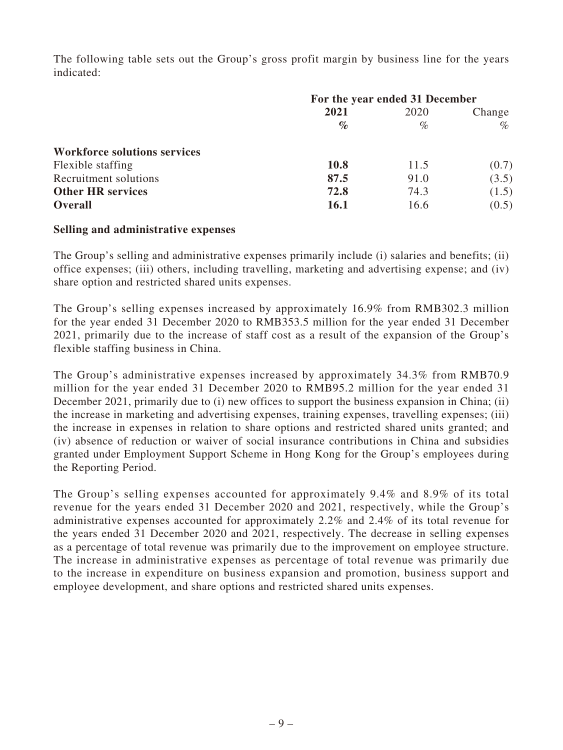The following table sets out the Group's gross profit margin by business line for the years indicated:

|                                     | For the year ended 31 December |      |        |  |
|-------------------------------------|--------------------------------|------|--------|--|
|                                     | 2021                           | 2020 | Change |  |
|                                     | $\mathscr{O}_{\mathcal{O}}$    | $\%$ | $\%$   |  |
| <b>Workforce solutions services</b> |                                |      |        |  |
| Flexible staffing                   | 10.8                           | 11.5 | (0.7)  |  |
| Recruitment solutions               | 87.5                           | 91.0 | (3.5)  |  |
| <b>Other HR services</b>            | 72.8                           | 74.3 | (1.5)  |  |
| <b>Overall</b>                      | <b>16.1</b>                    | 16.6 | (0.5)  |  |

## **Selling and administrative expenses**

The Group's selling and administrative expenses primarily include (i) salaries and benefits; (ii) office expenses; (iii) others, including travelling, marketing and advertising expense; and (iv) share option and restricted shared units expenses.

The Group's selling expenses increased by approximately 16.9% from RMB302.3 million for the year ended 31 December 2020 to RMB353.5 million for the year ended 31 December 2021, primarily due to the increase of staff cost as a result of the expansion of the Group's flexible staffing business in China.

The Group's administrative expenses increased by approximately 34.3% from RMB70.9 million for the year ended 31 December 2020 to RMB95.2 million for the year ended 31 December 2021, primarily due to (i) new offices to support the business expansion in China; (ii) the increase in marketing and advertising expenses, training expenses, travelling expenses; (iii) the increase in expenses in relation to share options and restricted shared units granted; and (iv) absence of reduction or waiver of social insurance contributions in China and subsidies granted under Employment Support Scheme in Hong Kong for the Group's employees during the Reporting Period.

The Group's selling expenses accounted for approximately 9.4% and 8.9% of its total revenue for the years ended 31 December 2020 and 2021, respectively, while the Group's administrative expenses accounted for approximately 2.2% and 2.4% of its total revenue for the years ended 31 December 2020 and 2021, respectively. The decrease in selling expenses as a percentage of total revenue was primarily due to the improvement on employee structure. The increase in administrative expenses as percentage of total revenue was primarily due to the increase in expenditure on business expansion and promotion, business support and employee development, and share options and restricted shared units expenses.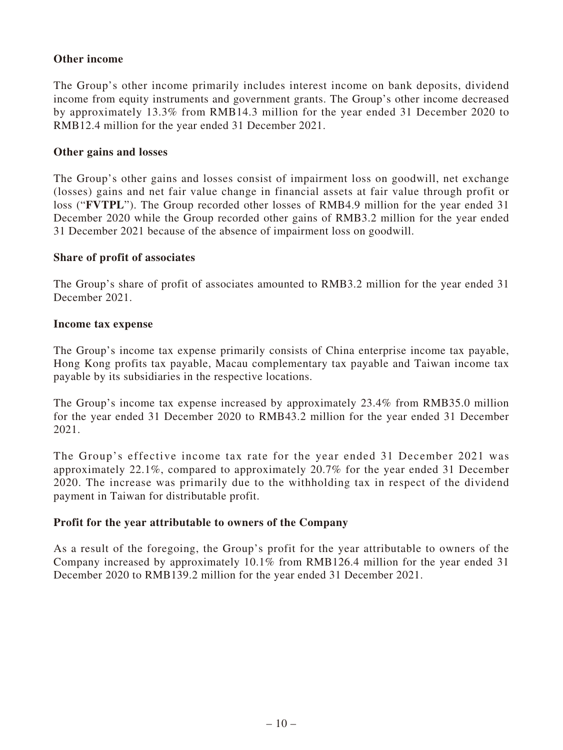## **Other income**

The Group's other income primarily includes interest income on bank deposits, dividend income from equity instruments and government grants. The Group's other income decreased by approximately 13.3% from RMB14.3 million for the year ended 31 December 2020 to RMB12.4 million for the year ended 31 December 2021.

## **Other gains and losses**

The Group's other gains and losses consist of impairment loss on goodwill, net exchange (losses) gains and net fair value change in financial assets at fair value through profit or loss ("**FVTPL**"). The Group recorded other losses of RMB4.9 million for the year ended 31 December 2020 while the Group recorded other gains of RMB3.2 million for the year ended 31 December 2021 because of the absence of impairment loss on goodwill.

## **Share of profit of associates**

The Group's share of profit of associates amounted to RMB3.2 million for the year ended 31 December 2021.

## **Income tax expense**

The Group's income tax expense primarily consists of China enterprise income tax payable, Hong Kong profits tax payable, Macau complementary tax payable and Taiwan income tax payable by its subsidiaries in the respective locations.

The Group's income tax expense increased by approximately 23.4% from RMB35.0 million for the year ended 31 December 2020 to RMB43.2 million for the year ended 31 December 2021.

The Group's effective income tax rate for the year ended 31 December 2021 was approximately 22.1%, compared to approximately 20.7% for the year ended 31 December 2020. The increase was primarily due to the withholding tax in respect of the dividend payment in Taiwan for distributable profit.

# **Profit for the year attributable to owners of the Company**

As a result of the foregoing, the Group's profit for the year attributable to owners of the Company increased by approximately 10.1% from RMB126.4 million for the year ended 31 December 2020 to RMB139.2 million for the year ended 31 December 2021.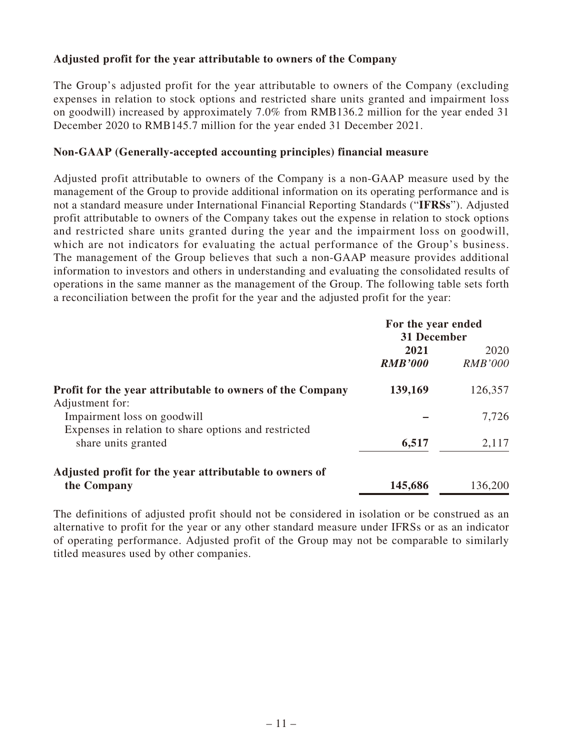# **Adjusted profit for the year attributable to owners of the Company**

The Group's adjusted profit for the year attributable to owners of the Company (excluding expenses in relation to stock options and restricted share units granted and impairment loss on goodwill) increased by approximately 7.0% from RMB136.2 million for the year ended 31 December 2020 to RMB145.7 million for the year ended 31 December 2021.

## **Non-GAAP (Generally-accepted accounting principles) financial measure**

Adjusted profit attributable to owners of the Company is a non-GAAP measure used by the management of the Group to provide additional information on its operating performance and is not a standard measure under International Financial Reporting Standards ("**IFRSs**"). Adjusted profit attributable to owners of the Company takes out the expense in relation to stock options and restricted share units granted during the year and the impairment loss on goodwill, which are not indicators for evaluating the actual performance of the Group's business. The management of the Group believes that such a non-GAAP measure provides additional information to investors and others in understanding and evaluating the consolidated results of operations in the same manner as the management of the Group. The following table sets forth a reconciliation between the profit for the year and the adjusted profit for the year:

|                                                                                     | For the year ended<br>31 December |                        |
|-------------------------------------------------------------------------------------|-----------------------------------|------------------------|
|                                                                                     | 2021<br><b>RMB'000</b>            | 2020<br><i>RMB'000</i> |
| Profit for the year attributable to owners of the Company<br>Adjustment for:        | 139,169                           | 126,357                |
| Impairment loss on goodwill<br>Expenses in relation to share options and restricted |                                   | 7,726                  |
| share units granted                                                                 | 6,517                             | 2,117                  |
| Adjusted profit for the year attributable to owners of                              |                                   |                        |
| the Company                                                                         | 145,686                           | 136,200                |

The definitions of adjusted profit should not be considered in isolation or be construed as an alternative to profit for the year or any other standard measure under IFRSs or as an indicator of operating performance. Adjusted profit of the Group may not be comparable to similarly titled measures used by other companies.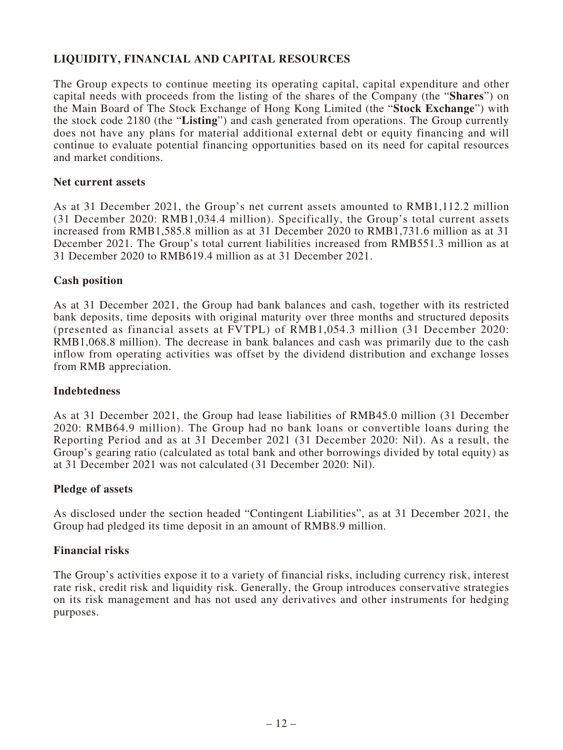# **LIQUIDITY, FINANCIAL AND CAPITAL RESOURCES**

The Group expects to continue meeting its operating capital, capital expenditure and other capital needs with proceeds from the listing of the shares of the Company (the "**Shares**") on the Main Board of The Stock Exchange of Hong Kong Limited (the "**Stock Exchange**") with the stock code 2180 (the "**Listing**") and cash generated from operations. The Group currently does not have any plans for material additional external debt or equity financing and will continue to evaluate potential financing opportunities based on its need for capital resources and market conditions.

### **Net current assets**

As at 31 December 2021, the Group's net current assets amounted to RMB1,112.2 million (31 December 2020: RMB1,034.4 million). Specifically, the Group's total current assets increased from RMB1,585.8 million as at 31 December 2020 to RMB1,731.6 million as at 31 December 2021. The Group's total current liabilities increased from RMB551.3 million as at 31 December 2020 to RMB619.4 million as at 31 December 2021.

## **Cash position**

As at 31 December 2021, the Group had bank balances and cash, together with its restricted bank deposits, time deposits with original maturity over three months and structured deposits (presented as financial assets at FVTPL) of RMB1,054.3 million (31 December 2020: RMB1,068.8 million). The decrease in bank balances and cash was primarily due to the cash inflow from operating activities was offset by the dividend distribution and exchange losses from RMB appreciation.

## **Indebtedness**

As at 31 December 2021, the Group had lease liabilities of RMB45.0 million (31 December 2020: RMB64.9 million). The Group had no bank loans or convertible loans during the Reporting Period and as at 31 December 2021 (31 December 2020: Nil). As a result, the Group's gearing ratio (calculated as total bank and other borrowings divided by total equity) as at 31 December 2021 was not calculated (31 December 2020: Nil).

### **Pledge of assets**

As disclosed under the section headed "Contingent Liabilities", as at 31 December 2021, the Group had pledged its time deposit in an amount of RMB8.9 million.

## **Financial risks**

The Group's activities expose it to a variety of financial risks, including currency risk, interest rate risk, credit risk and liquidity risk. Generally, the Group introduces conservative strategies on its risk management and has not used any derivatives and other instruments for hedging purposes.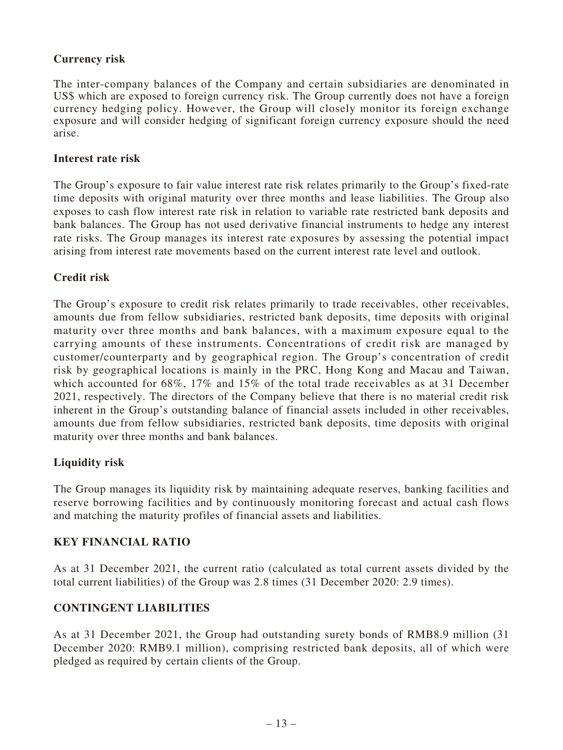# **Currency risk**

The inter-company balances of the Company and certain subsidiaries are denominated in US\$ which are exposed to foreign currency risk. The Group currently does not have a foreign currency hedging policy. However, the Group will closely monitor its foreign exchange exposure and will consider hedging of significant foreign currency exposure should the need arise.

## **Interest rate risk**

The Group's exposure to fair value interest rate risk relates primarily to the Group's fixed-rate time deposits with original maturity over three months and lease liabilities. The Group also exposes to cash flow interest rate risk in relation to variable rate restricted bank deposits and bank balances. The Group has not used derivative financial instruments to hedge any interest rate risks. The Group manages its interest rate exposures by assessing the potential impact arising from interest rate movements based on the current interest rate level and outlook.

# **Credit risk**

The Group's exposure to credit risk relates primarily to trade receivables, other receivables, amounts due from fellow subsidiaries, restricted bank deposits, time deposits with original maturity over three months and bank balances, with a maximum exposure equal to the carrying amounts of these instruments. Concentrations of credit risk are managed by customer/counterparty and by geographical region. The Group's concentration of credit risk by geographical locations is mainly in the PRC, Hong Kong and Macau and Taiwan, which accounted for 68%, 17% and 15% of the total trade receivables as at 31 December 2021, respectively. The directors of the Company believe that there is no material credit risk inherent in the Group's outstanding balance of financial assets included in other receivables, amounts due from fellow subsidiaries, restricted bank deposits, time deposits with original maturity over three months and bank balances.

# **Liquidity risk**

The Group manages its liquidity risk by maintaining adequate reserves, banking facilities and reserve borrowing facilities and by continuously monitoring forecast and actual cash flows and matching the maturity profiles of financial assets and liabilities.

## **KEY FINANCIAL RATIO**

As at 31 December 2021, the current ratio (calculated as total current assets divided by the total current liabilities) of the Group was 2.8 times (31 December 2020: 2.9 times).

# **CONTINGENT LIABILITIES**

As at 31 December 2021, the Group had outstanding surety bonds of RMB8.9 million (31 December 2020: RMB9.1 million), comprising restricted bank deposits, all of which were pledged as required by certain clients of the Group.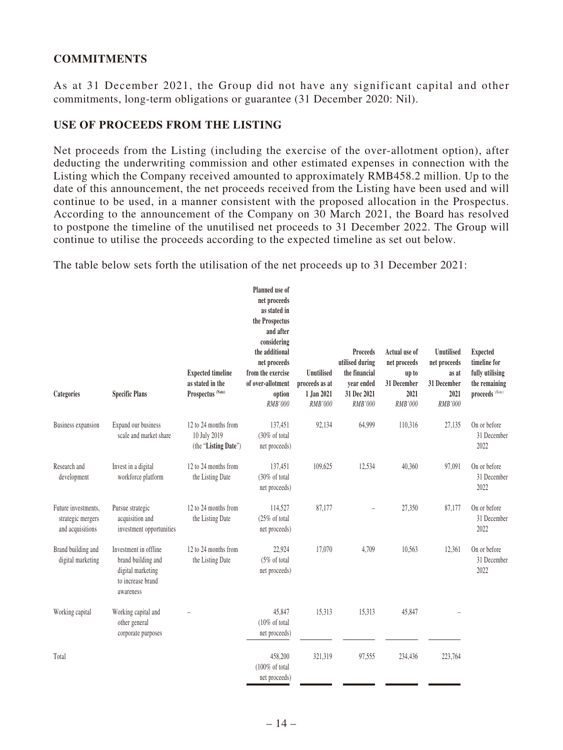# **COMMITMENTS**

As at 31 December 2021, the Group did not have any significant capital and other commitments, long-term obligations or guarantee (31 December 2020: Nil).

## **USE OF PROCEEDS FROM THE LISTING**

Net proceeds from the Listing (including the exercise of the over-allotment option), after deducting the underwriting commission and other estimated expenses in connection with the Listing which the Company received amounted to approximately RMB458.2 million. Up to the date of this announcement, the net proceeds received from the Listing have been used and will continue to be used, in a manner consistent with the proposed allocation in the Prospectus. According to the announcement of the Company on 30 March 2021, the Board has resolved to postpone the timeline of the unutilised net proceeds to 31 December 2022. The Group will continue to utilise the proceeds according to the expected timeline as set out below.

The table below sets forth the utilisation of the net proceeds up to 31 December 2021:

| Categories                                                   | <b>Specific Plans</b>                                                                              | <b>Expected timeline</b><br>as stated in the<br>Prospectus <sup>(Note)</sup> | Planned use of<br>net proceeds<br>as stated in<br>the Prospectus<br>and after<br>considering<br>the additional<br>net proceeds<br>from the exercise<br>of over-allotment<br>option<br><b>RMB'000</b> | <b>Unutilised</b><br>proceeds as at<br>1 Jan 2021<br>RMB'000 | <b>Proceeds</b><br>utilised during<br>the financial<br>vear ended<br>31 Dec 2021<br><b>RMB'000</b> | Actual use of<br>net proceeds<br>up to<br>31 December<br>2021<br>RMB'000 | Unutilised<br>net proceeds<br>as at<br>31 December<br>2021<br>RMB'000 | <b>Expected</b><br>timeline for<br>fully utilising<br>the remaining<br>proceeds (Note) |
|--------------------------------------------------------------|----------------------------------------------------------------------------------------------------|------------------------------------------------------------------------------|------------------------------------------------------------------------------------------------------------------------------------------------------------------------------------------------------|--------------------------------------------------------------|----------------------------------------------------------------------------------------------------|--------------------------------------------------------------------------|-----------------------------------------------------------------------|----------------------------------------------------------------------------------------|
| Business expansion                                           | Expand our business<br>scale and market share                                                      | 12 to 24 months from<br>10 July 2019<br>(the "Listing Date")                 | 137,451<br>(30% of total<br>net proceeds)                                                                                                                                                            | 92,134                                                       | 64,999                                                                                             | 110,316                                                                  | 27,135                                                                | On or before<br>31 December<br>2022                                                    |
| Research and<br>development                                  | Invest in a digital<br>workforce platform                                                          | 12 to 24 months from<br>the Listing Date                                     | 137,451<br>(30% of total<br>net proceeds)                                                                                                                                                            | 109,625                                                      | 12,534                                                                                             | 40,360                                                                   | 97,091                                                                | On or before<br>31 December<br>2022                                                    |
| Future investments,<br>strategic mergers<br>and acquisitions | Pursue strategic<br>acquisition and<br>investment opportunities                                    | 12 to 24 months from<br>the Listing Date                                     | 114,527<br>(25% of total<br>net proceeds)                                                                                                                                                            | 87,177                                                       |                                                                                                    | 27,350                                                                   | 87,177                                                                | On or before<br>31 December<br>2022                                                    |
| Brand building and<br>digital marketing                      | Investment in offline<br>brand building and<br>digital marketing<br>to increase brand<br>awareness | 12 to 24 months from<br>the Listing Date                                     | 22,924<br>$(5\% \text{ of total})$<br>net proceeds)                                                                                                                                                  | 17,070                                                       | 4,709                                                                                              | 10,563                                                                   | 12,361                                                                | On or before<br>31 December<br>2022                                                    |
| Working capital                                              | Working capital and<br>other general<br>corporate purposes                                         |                                                                              | 45,847<br>(10% of total<br>net proceeds)                                                                                                                                                             | 15,313                                                       | 15,313                                                                                             | 45,847                                                                   |                                                                       |                                                                                        |
| Total                                                        |                                                                                                    |                                                                              | 458,200<br>$(100\% \text{ of total}$<br>net proceeds)                                                                                                                                                | 321,319                                                      | 97,555                                                                                             | 234,436                                                                  | 223,764                                                               |                                                                                        |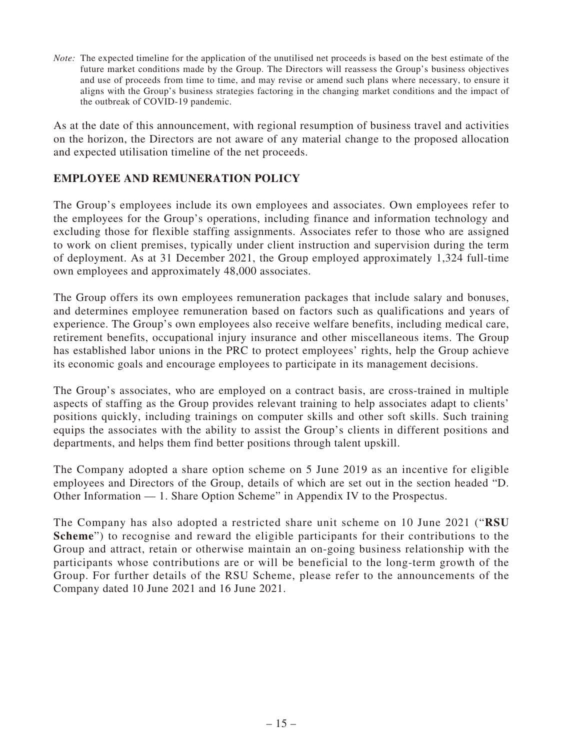*Note:* The expected timeline for the application of the unutilised net proceeds is based on the best estimate of the future market conditions made by the Group. The Directors will reassess the Group's business objectives and use of proceeds from time to time, and may revise or amend such plans where necessary, to ensure it aligns with the Group's business strategies factoring in the changing market conditions and the impact of the outbreak of COVID-19 pandemic.

As at the date of this announcement, with regional resumption of business travel and activities on the horizon, the Directors are not aware of any material change to the proposed allocation and expected utilisation timeline of the net proceeds.

# **EMPLOYEE AND REMUNERATION POLICY**

The Group's employees include its own employees and associates. Own employees refer to the employees for the Group's operations, including finance and information technology and excluding those for flexible staffing assignments. Associates refer to those who are assigned to work on client premises, typically under client instruction and supervision during the term of deployment. As at 31 December 2021, the Group employed approximately 1,324 full-time own employees and approximately 48,000 associates.

The Group offers its own employees remuneration packages that include salary and bonuses, and determines employee remuneration based on factors such as qualifications and years of experience. The Group's own employees also receive welfare benefits, including medical care, retirement benefits, occupational injury insurance and other miscellaneous items. The Group has established labor unions in the PRC to protect employees' rights, help the Group achieve its economic goals and encourage employees to participate in its management decisions.

The Group's associates, who are employed on a contract basis, are cross-trained in multiple aspects of staffing as the Group provides relevant training to help associates adapt to clients' positions quickly, including trainings on computer skills and other soft skills. Such training equips the associates with the ability to assist the Group's clients in different positions and departments, and helps them find better positions through talent upskill.

The Company adopted a share option scheme on 5 June 2019 as an incentive for eligible employees and Directors of the Group, details of which are set out in the section headed "D. Other Information — 1. Share Option Scheme" in Appendix IV to the Prospectus.

The Company has also adopted a restricted share unit scheme on 10 June 2021 ("**RSU Scheme**") to recognise and reward the eligible participants for their contributions to the Group and attract, retain or otherwise maintain an on-going business relationship with the participants whose contributions are or will be beneficial to the long-term growth of the Group. For further details of the RSU Scheme, please refer to the announcements of the Company dated 10 June 2021 and 16 June 2021.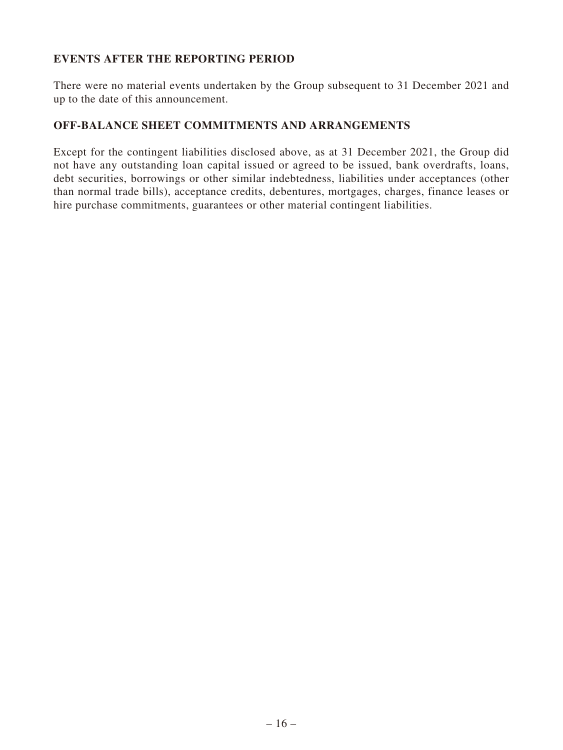# **EVENTS AFTER THE REPORTING PERIOD**

There were no material events undertaken by the Group subsequent to 31 December 2021 and up to the date of this announcement.

## **OFF-BALANCE SHEET COMMITMENTS AND ARRANGEMENTS**

Except for the contingent liabilities disclosed above, as at 31 December 2021, the Group did not have any outstanding loan capital issued or agreed to be issued, bank overdrafts, loans, debt securities, borrowings or other similar indebtedness, liabilities under acceptances (other than normal trade bills), acceptance credits, debentures, mortgages, charges, finance leases or hire purchase commitments, guarantees or other material contingent liabilities.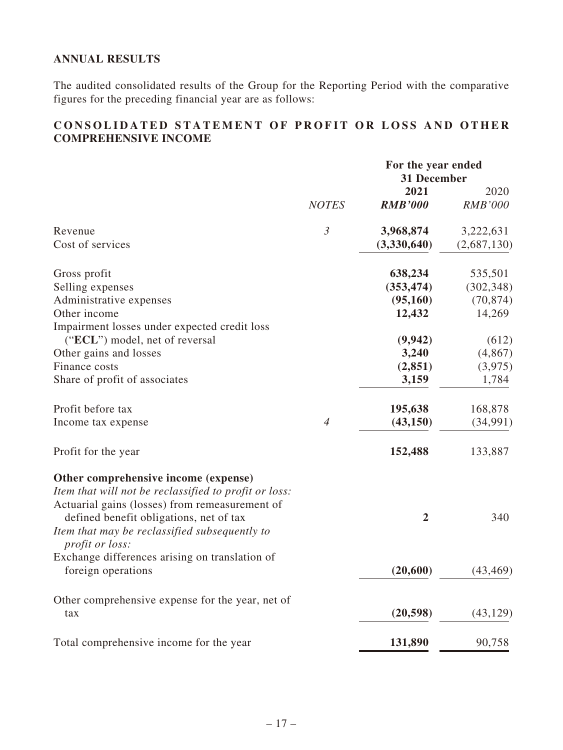# **ANNUAL RESULTS**

The audited consolidated results of the Group for the Reporting Period with the comparative figures for the preceding financial year are as follows:

# **CONSOLIDATED STATEMENT OF PROFIT OR LOSS AND OTHER COMPREHENSIVE INCOME**

|                                                                         |                | For the year ended<br>31 December |                |
|-------------------------------------------------------------------------|----------------|-----------------------------------|----------------|
|                                                                         |                | 2021                              | 2020           |
|                                                                         | <b>NOTES</b>   | <b>RMB'000</b>                    | <b>RMB'000</b> |
| Revenue                                                                 | $\mathfrak{Z}$ | 3,968,874                         | 3,222,631      |
| Cost of services                                                        |                | (3,330,640)                       | (2,687,130)    |
| Gross profit                                                            |                | 638,234                           | 535,501        |
| Selling expenses                                                        |                | (353, 474)                        | (302, 348)     |
| Administrative expenses                                                 |                | (95,160)                          | (70, 874)      |
| Other income                                                            |                | 12,432                            | 14,269         |
| Impairment losses under expected credit loss                            |                |                                   |                |
| ("ECL") model, net of reversal                                          |                | (9,942)                           | (612)          |
| Other gains and losses                                                  |                | 3,240                             | (4, 867)       |
| Finance costs                                                           |                | (2, 851)                          | (3,975)        |
| Share of profit of associates                                           |                | 3,159                             | 1,784          |
| Profit before tax                                                       |                | 195,638                           | 168,878        |
| Income tax expense                                                      | $\overline{4}$ | (43, 150)                         | (34,991)       |
| Profit for the year                                                     |                | 152,488                           | 133,887        |
| Other comprehensive income (expense)                                    |                |                                   |                |
| Item that will not be reclassified to profit or loss:                   |                |                                   |                |
| Actuarial gains (losses) from remeasurement of                          |                |                                   |                |
| defined benefit obligations, net of tax                                 |                | $\overline{2}$                    | 340            |
| Item that may be reclassified subsequently to<br><i>profit or loss:</i> |                |                                   |                |
| Exchange differences arising on translation of                          |                |                                   |                |
| foreign operations                                                      |                | (20, 600)                         | (43, 469)      |
| Other comprehensive expense for the year, net of                        |                |                                   |                |
| tax                                                                     |                | (20, 598)                         | (43, 129)      |
| Total comprehensive income for the year                                 |                | 131,890                           | 90,758         |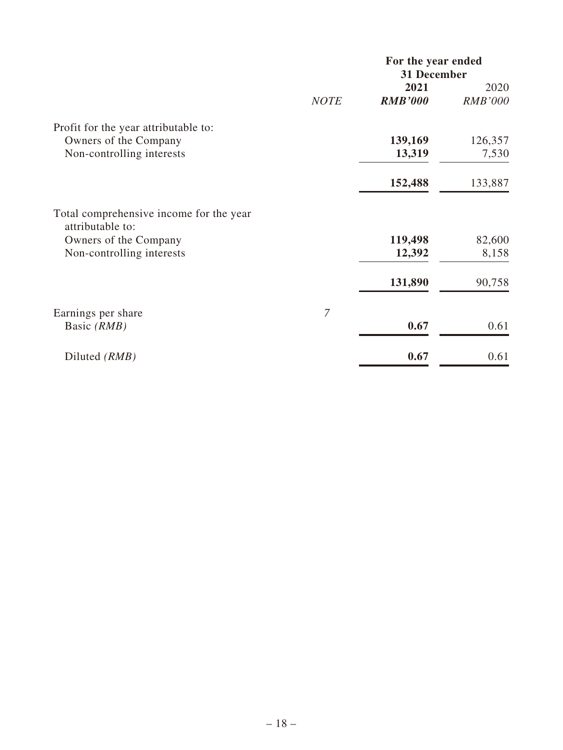|                                                             |                | For the year ended<br>31 December |                        |
|-------------------------------------------------------------|----------------|-----------------------------------|------------------------|
|                                                             |                | 2021<br><b>RMB'000</b>            | 2020<br><b>RMB'000</b> |
|                                                             | <b>NOTE</b>    |                                   |                        |
| Profit for the year attributable to:                        |                |                                   |                        |
| Owners of the Company                                       |                | 139,169                           | 126,357                |
| Non-controlling interests                                   |                | 13,319                            | 7,530                  |
|                                                             |                | 152,488                           | 133,887                |
| Total comprehensive income for the year<br>attributable to: |                |                                   |                        |
| Owners of the Company                                       |                | 119,498                           | 82,600                 |
| Non-controlling interests                                   |                | 12,392                            | 8,158                  |
|                                                             |                | 131,890                           | 90,758                 |
| Earnings per share                                          | $\overline{7}$ |                                   |                        |
| Basic (RMB)                                                 |                | 0.67                              | 0.61                   |
| Diluted (RMB)                                               |                | 0.67                              | 0.61                   |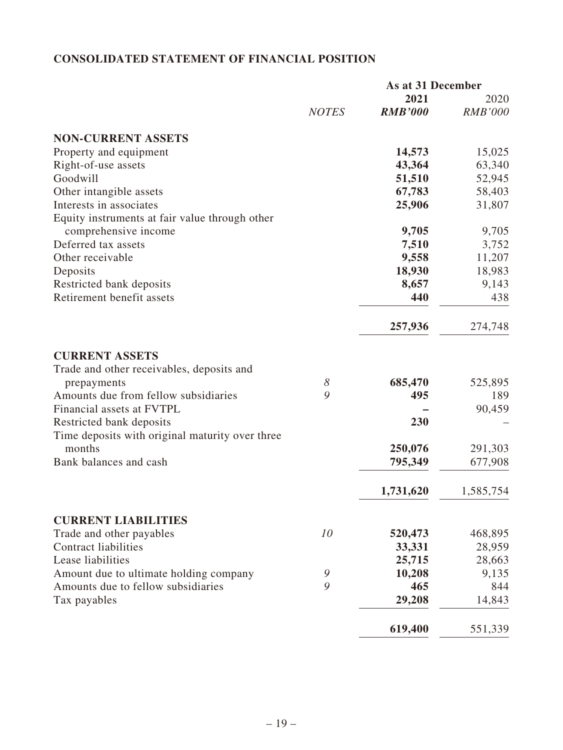# **CONSOLIDATED STATEMENT OF FINANCIAL POSITION**

|                                                                             |              | As at 31 December |                |
|-----------------------------------------------------------------------------|--------------|-------------------|----------------|
|                                                                             |              | 2021              | 2020           |
|                                                                             | <b>NOTES</b> | <b>RMB'000</b>    | <b>RMB'000</b> |
| <b>NON-CURRENT ASSETS</b>                                                   |              |                   |                |
| Property and equipment                                                      |              | 14,573            | 15,025         |
| Right-of-use assets                                                         |              | 43,364            | 63,340         |
| Goodwill                                                                    |              | 51,510            | 52,945         |
| Other intangible assets                                                     |              | 67,783            | 58,403         |
| Interests in associates                                                     |              | 25,906            | 31,807         |
| Equity instruments at fair value through other                              |              |                   |                |
| comprehensive income                                                        |              | 9,705             | 9,705          |
| Deferred tax assets                                                         |              | 7,510             | 3,752          |
| Other receivable                                                            |              | 9,558             | 11,207         |
| Deposits                                                                    |              | 18,930            | 18,983         |
| Restricted bank deposits                                                    |              | 8,657             | 9,143          |
| Retirement benefit assets                                                   |              | 440               | 438            |
|                                                                             |              | 257,936           | 274,748        |
| <b>CURRENT ASSETS</b>                                                       |              |                   |                |
| Trade and other receivables, deposits and                                   |              |                   |                |
| prepayments                                                                 | 8            | 685,470           | 525,895        |
| Amounts due from fellow subsidiaries                                        | 9            | 495               | 189            |
| Financial assets at FVTPL                                                   |              |                   | 90,459         |
| Restricted bank deposits<br>Time deposits with original maturity over three |              | 230               |                |
| months                                                                      |              | 250,076           | 291,303        |
| Bank balances and cash                                                      |              | 795,349           | 677,908        |
|                                                                             |              |                   |                |
|                                                                             |              | 1,731,620         | 1,585,754      |
| <b>CURRENT LIABILITIES</b>                                                  |              |                   |                |
| Trade and other payables                                                    | 10           | 520,473           | 468,895        |
| <b>Contract liabilities</b>                                                 |              | 33,331            | 28,959         |
| Lease liabilities                                                           |              | 25,715            | 28,663         |
| Amount due to ultimate holding company                                      | 9            | 10,208            | 9,135          |
| Amounts due to fellow subsidiaries                                          | 9            | 465               | 844            |
| Tax payables                                                                |              | 29,208            | 14,843         |
|                                                                             |              | 619,400           | 551,339        |
|                                                                             |              |                   |                |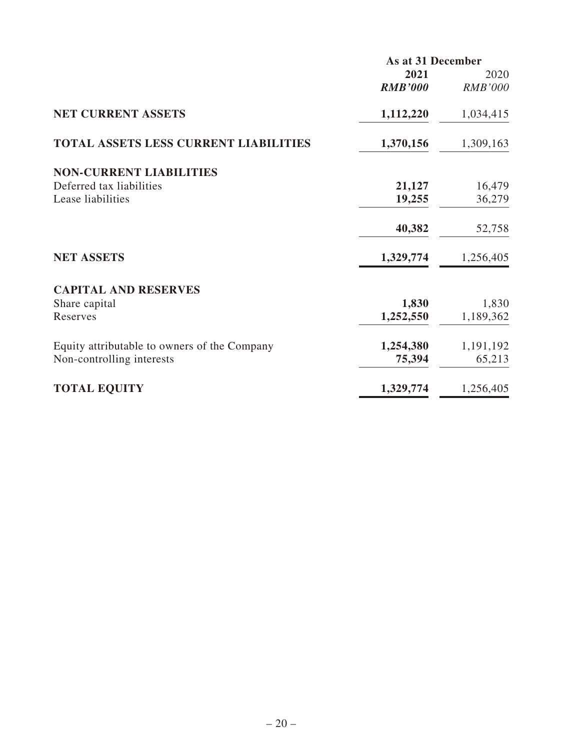|                                              | As at 31 December |                |  |
|----------------------------------------------|-------------------|----------------|--|
|                                              | 2021              | 2020           |  |
|                                              | <b>RMB'000</b>    | <b>RMB'000</b> |  |
| <b>NET CURRENT ASSETS</b>                    | 1,112,220         | 1,034,415      |  |
| <b>TOTAL ASSETS LESS CURRENT LIABILITIES</b> | 1,370,156         | 1,309,163      |  |
| <b>NON-CURRENT LIABILITIES</b>               |                   |                |  |
| Deferred tax liabilities                     | 21,127            | 16,479         |  |
| Lease liabilities                            | 19,255            | 36,279         |  |
|                                              | 40,382            | 52,758         |  |
| <b>NET ASSETS</b>                            | 1,329,774         | 1,256,405      |  |
| <b>CAPITAL AND RESERVES</b>                  |                   |                |  |
| Share capital                                | 1,830             | 1,830          |  |
| Reserves                                     | 1,252,550         | 1,189,362      |  |
| Equity attributable to owners of the Company | 1,254,380         | 1,191,192      |  |
| Non-controlling interests                    | 75,394            | 65,213         |  |
| <b>TOTAL EQUITY</b>                          | 1,329,774         | 1,256,405      |  |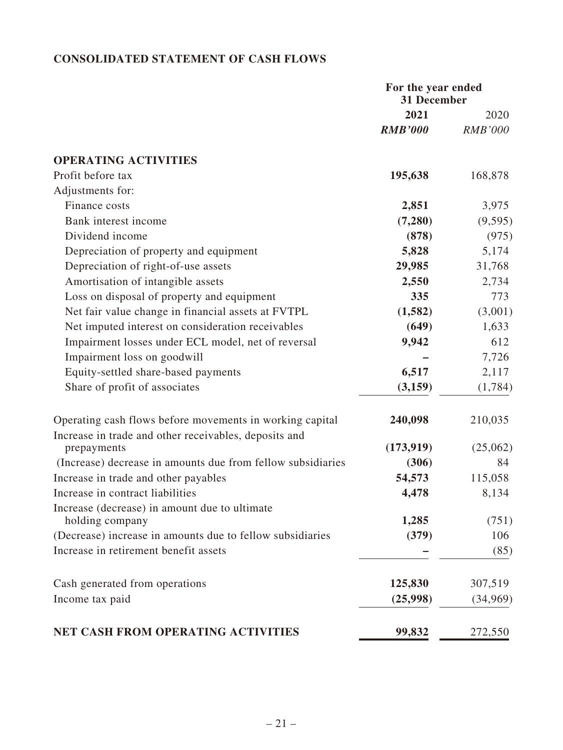# **CONSOLIDATED STATEMENT OF CASH FLOWS**

|                                                                                                                   | For the year ended<br>31 December |                |
|-------------------------------------------------------------------------------------------------------------------|-----------------------------------|----------------|
|                                                                                                                   | 2021                              | 2020           |
|                                                                                                                   | <b>RMB'000</b>                    | <b>RMB'000</b> |
| <b>OPERATING ACTIVITIES</b>                                                                                       |                                   |                |
| Profit before tax                                                                                                 | 195,638                           | 168,878        |
| Adjustments for:                                                                                                  |                                   |                |
| Finance costs                                                                                                     | 2,851                             | 3,975          |
| Bank interest income                                                                                              | (7,280)                           | (9, 595)       |
| Dividend income                                                                                                   | (878)                             | (975)          |
| Depreciation of property and equipment                                                                            | 5,828                             | 5,174          |
| Depreciation of right-of-use assets                                                                               | 29,985                            | 31,768         |
| Amortisation of intangible assets                                                                                 | 2,550                             | 2,734          |
| Loss on disposal of property and equipment                                                                        | 335                               | 773            |
| Net fair value change in financial assets at FVTPL                                                                | (1,582)                           | (3,001)        |
| Net imputed interest on consideration receivables                                                                 | (649)                             | 1,633          |
| Impairment losses under ECL model, net of reversal                                                                | 9,942                             | 612            |
| Impairment loss on goodwill                                                                                       |                                   | 7,726          |
| Equity-settled share-based payments                                                                               | 6,517                             | 2,117          |
| Share of profit of associates                                                                                     | (3,159)                           | (1,784)        |
| Operating cash flows before movements in working capital<br>Increase in trade and other receivables, deposits and | 240,098                           | 210,035        |
| prepayments                                                                                                       | (173, 919)                        | (25,062)       |
| (Increase) decrease in amounts due from fellow subsidiaries                                                       | (306)                             | 84             |
| Increase in trade and other payables                                                                              | 54,573                            | 115,058        |
| Increase in contract liabilities                                                                                  | 4,478                             | 8,134          |
| Increase (decrease) in amount due to ultimate<br>holding company                                                  | 1,285                             | (751)          |
| (Decrease) increase in amounts due to fellow subsidiaries                                                         | (379)                             | 106            |
| Increase in retirement benefit assets                                                                             |                                   | (85)           |
| Cash generated from operations                                                                                    | 125,830                           | 307,519        |
| Income tax paid                                                                                                   | (25,998)                          | (34,969)       |
| <b>NET CASH FROM OPERATING ACTIVITIES</b>                                                                         | 99,832                            | 272,550        |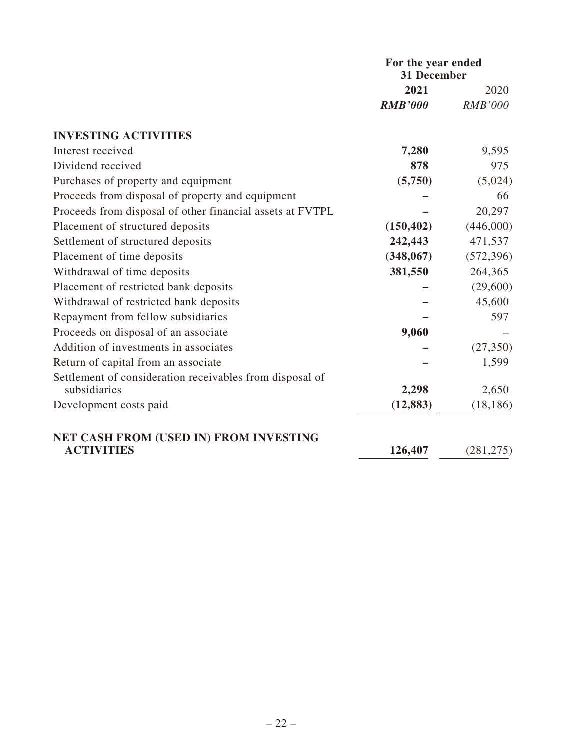|                                                           | For the year ended<br>31 December |                |  |
|-----------------------------------------------------------|-----------------------------------|----------------|--|
|                                                           | 2021                              | 2020           |  |
|                                                           | <b>RMB'000</b>                    | <b>RMB'000</b> |  |
| <b>INVESTING ACTIVITIES</b>                               |                                   |                |  |
| Interest received                                         | 7,280                             | 9,595          |  |
| Dividend received                                         | 878                               | 975            |  |
| Purchases of property and equipment                       | (5,750)                           | (5,024)        |  |
| Proceeds from disposal of property and equipment          |                                   | 66             |  |
| Proceeds from disposal of other financial assets at FVTPL |                                   | 20,297         |  |
| Placement of structured deposits                          | (150, 402)                        | (446,000)      |  |
| Settlement of structured deposits                         | 242,443                           | 471,537        |  |
| Placement of time deposits                                | (348,067)                         | (572, 396)     |  |
| Withdrawal of time deposits                               | 381,550                           | 264,365        |  |
| Placement of restricted bank deposits                     |                                   | (29,600)       |  |
| Withdrawal of restricted bank deposits                    |                                   | 45,600         |  |
| Repayment from fellow subsidiaries                        |                                   | 597            |  |
| Proceeds on disposal of an associate                      | 9,060                             |                |  |
| Addition of investments in associates                     |                                   | (27, 350)      |  |
| Return of capital from an associate                       |                                   | 1,599          |  |
| Settlement of consideration receivables from disposal of  |                                   |                |  |
| subsidiaries                                              | 2,298                             | 2,650          |  |
| Development costs paid                                    | (12, 883)                         | (18, 186)      |  |
| NET CASH FROM (USED IN) FROM INVESTING                    |                                   |                |  |
| <b>ACTIVITIES</b>                                         | 126,407                           | (281, 275)     |  |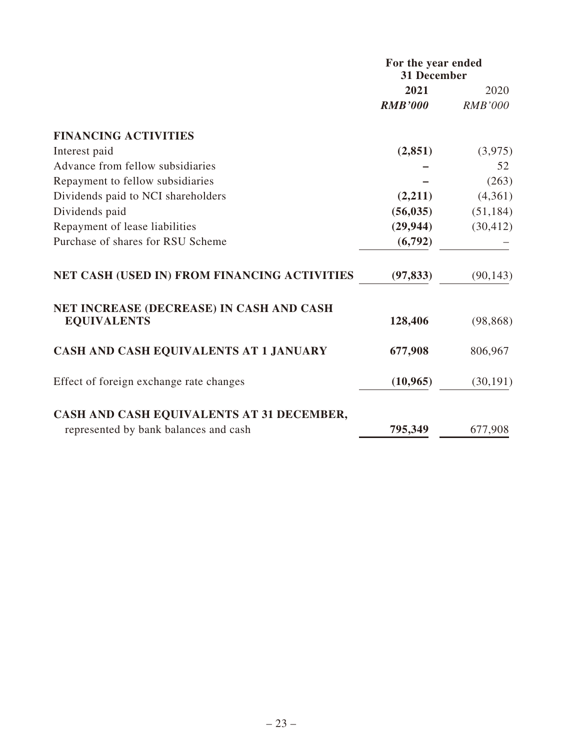|                                                                | For the year ended<br><b>31 December</b> |                |
|----------------------------------------------------------------|------------------------------------------|----------------|
|                                                                | 2021                                     | 2020           |
|                                                                | <b>RMB'000</b>                           | <b>RMB'000</b> |
| <b>FINANCING ACTIVITIES</b>                                    |                                          |                |
| Interest paid                                                  | (2, 851)                                 | (3,975)        |
| Advance from fellow subsidiaries                               |                                          | 52             |
| Repayment to fellow subsidiaries                               |                                          | (263)          |
| Dividends paid to NCI shareholders                             | (2,211)                                  | (4,361)        |
| Dividends paid                                                 | (56, 035)                                | (51, 184)      |
| Repayment of lease liabilities                                 | (29, 944)                                | (30, 412)      |
| Purchase of shares for RSU Scheme                              | (6,792)                                  |                |
| NET CASH (USED IN) FROM FINANCING ACTIVITIES                   | (97, 833)                                | (90, 143)      |
| NET INCREASE (DECREASE) IN CASH AND CASH<br><b>EQUIVALENTS</b> | 128,406                                  | (98, 868)      |
| CASH AND CASH EQUIVALENTS AT 1 JANUARY                         | 677,908                                  | 806,967        |
| Effect of foreign exchange rate changes                        | (10, 965)                                | (30, 191)      |
| CASH AND CASH EQUIVALENTS AT 31 DECEMBER,                      |                                          |                |
| represented by bank balances and cash                          | 795,349                                  | 677,908        |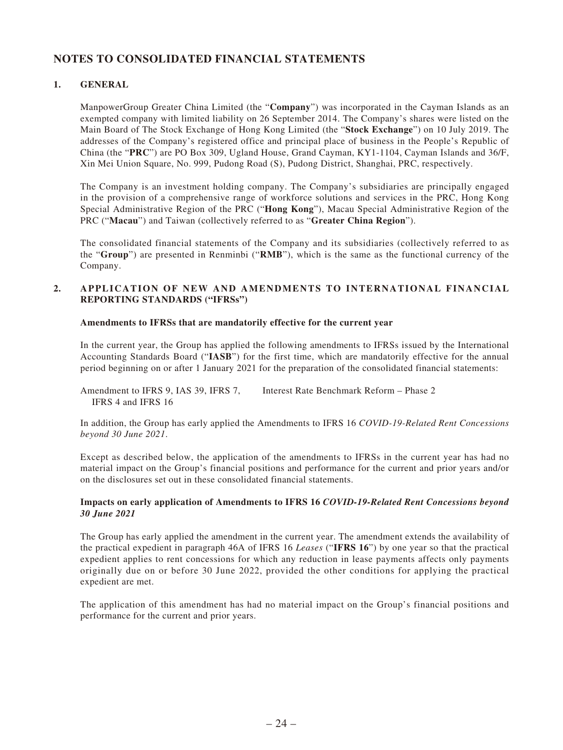# **NOTES TO CONSOLIDATED FINANCIAL STATEMENTS**

### **1. GENERAL**

ManpowerGroup Greater China Limited (the "**Company**") was incorporated in the Cayman Islands as an exempted company with limited liability on 26 September 2014. The Company's shares were listed on the Main Board of The Stock Exchange of Hong Kong Limited (the "**Stock Exchange**") on 10 July 2019. The addresses of the Company's registered office and principal place of business in the People's Republic of China (the "**PRC**") are PO Box 309, Ugland House, Grand Cayman, KY1-1104, Cayman Islands and 36/F, Xin Mei Union Square, No. 999, Pudong Road (S), Pudong District, Shanghai, PRC, respectively.

The Company is an investment holding company. The Company's subsidiaries are principally engaged in the provision of a comprehensive range of workforce solutions and services in the PRC, Hong Kong Special Administrative Region of the PRC ("**Hong Kong**"), Macau Special Administrative Region of the PRC ("**Macau**") and Taiwan (collectively referred to as "**Greater China Region**").

The consolidated financial statements of the Company and its subsidiaries (collectively referred to as the "**Group**") are presented in Renminbi ("**RMB**"), which is the same as the functional currency of the Company.

### **2. APPLICATION OF NEW AND AMENDMENTS TO INTERNATIONAL FINANCIAL REPORTING STANDARDS ("IFRSs")**

### **Amendments to IFRSs that are mandatorily effective for the current year**

In the current year, the Group has applied the following amendments to IFRSs issued by the International Accounting Standards Board ("**IASB**") for the first time, which are mandatorily effective for the annual period beginning on or after 1 January 2021 for the preparation of the consolidated financial statements:

Amendment to IFRS 9, IAS 39, IFRS 7, IFRS 4 and IFRS 16 Interest Rate Benchmark Reform – Phase 2

In addition, the Group has early applied the Amendments to IFRS 16 *COVID-19-Related Rent Concessions beyond 30 June 2021*.

Except as described below, the application of the amendments to IFRSs in the current year has had no material impact on the Group's financial positions and performance for the current and prior years and/or on the disclosures set out in these consolidated financial statements.

### **Impacts on early application of Amendments to IFRS 16** *COVID-19-Related Rent Concessions beyond 30 June 2021*

The Group has early applied the amendment in the current year. The amendment extends the availability of the practical expedient in paragraph 46A of IFRS 16 *Leases* ("**IFRS 16**") by one year so that the practical expedient applies to rent concessions for which any reduction in lease payments affects only payments originally due on or before 30 June 2022, provided the other conditions for applying the practical expedient are met.

The application of this amendment has had no material impact on the Group's financial positions and performance for the current and prior years.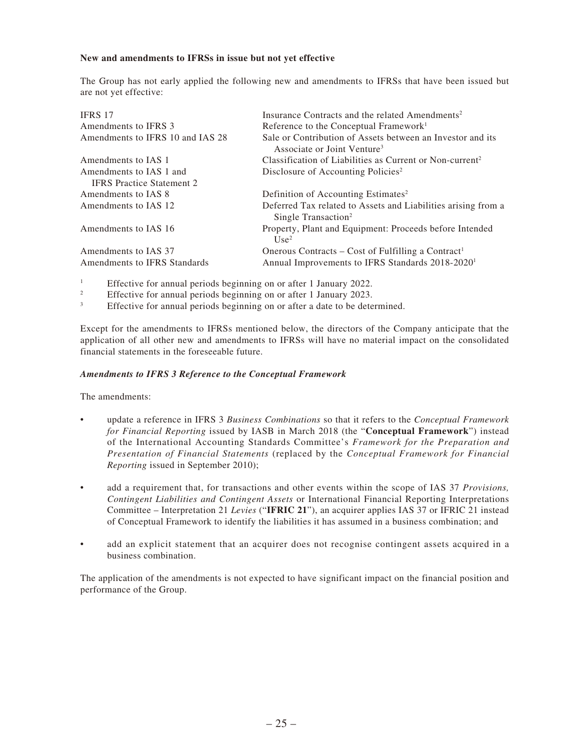### **New and amendments to IFRSs in issue but not yet effective**

The Group has not early applied the following new and amendments to IFRSs that have been issued but are not yet effective:

| <b>IFRS 17</b>                   | Insurance Contracts and the related Amendments <sup>2</sup>                                           |
|----------------------------------|-------------------------------------------------------------------------------------------------------|
| Amendments to IFRS 3             | Reference to the Conceptual Framework <sup>1</sup>                                                    |
| Amendments to IFRS 10 and IAS 28 | Sale or Contribution of Assets between an Investor and its<br>Associate or Joint Venture <sup>3</sup> |
| Amendments to IAS 1              | Classification of Liabilities as Current or Non-current <sup>2</sup>                                  |
| Amendments to IAS 1 and          | Disclosure of Accounting Policies <sup>2</sup>                                                        |
| <b>IFRS</b> Practice Statement 2 |                                                                                                       |
| Amendments to IAS 8              | Definition of Accounting Estimates <sup>2</sup>                                                       |
| Amendments to IAS 12             | Deferred Tax related to Assets and Liabilities arising from a<br>Single Transaction <sup>2</sup>      |
| Amendments to IAS 16             | Property, Plant and Equipment: Proceeds before Intended<br>Use <sup>2</sup>                           |
| Amendments to IAS 37             | Onerous Contracts – Cost of Fulfilling a Contract <sup>1</sup>                                        |
| Amendments to IFRS Standards     | Annual Improvements to IFRS Standards 2018-2020 <sup>1</sup>                                          |

1 Effective for annual periods beginning on or after 1 January 2022.

2 Effective for annual periods beginning on or after 1 January 2023.

3 Effective for annual periods beginning on or after a date to be determined.

Except for the amendments to IFRSs mentioned below, the directors of the Company anticipate that the application of all other new and amendments to IFRSs will have no material impact on the consolidated financial statements in the foreseeable future.

### *Amendments to IFRS 3 Reference to the Conceptual Framework*

The amendments:

- update a reference in IFRS 3 *Business Combinations* so that it refers to the *Conceptual Framework for Financial Reporting* issued by IASB in March 2018 (the "**Conceptual Framework**") instead of the International Accounting Standards Committee's *Framework for the Preparation and Presentation of Financial Statements* (replaced by the *Conceptual Framework for Financial Reporting* issued in September 2010);
- add a requirement that, for transactions and other events within the scope of IAS 37 *Provisions, Contingent Liabilities and Contingent Assets* or International Financial Reporting Interpretations Committee – Interpretation 21 *Levies* ("**IFRIC 21**"), an acquirer applies IAS 37 or IFRIC 21 instead of Conceptual Framework to identify the liabilities it has assumed in a business combination; and
- add an explicit statement that an acquirer does not recognise contingent assets acquired in a business combination.

The application of the amendments is not expected to have significant impact on the financial position and performance of the Group.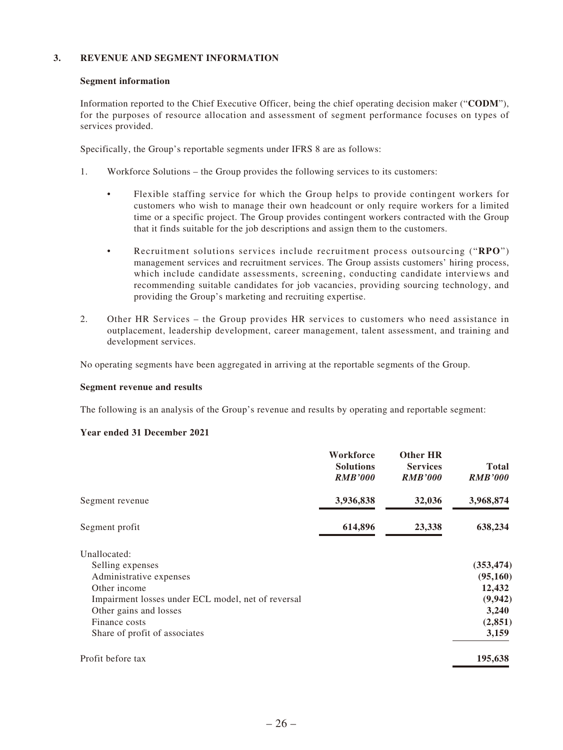### **3. REVENUE AND SEGMENT INFORMATION**

### **Segment information**

Information reported to the Chief Executive Officer, being the chief operating decision maker ("**CODM**"), for the purposes of resource allocation and assessment of segment performance focuses on types of services provided.

Specifically, the Group's reportable segments under IFRS 8 are as follows:

- 1. Workforce Solutions the Group provides the following services to its customers:
	- Flexible staffing service for which the Group helps to provide contingent workers for customers who wish to manage their own headcount or only require workers for a limited time or a specific project. The Group provides contingent workers contracted with the Group that it finds suitable for the job descriptions and assign them to the customers.
	- Recruitment solutions services include recruitment process outsourcing ("**RPO**") management services and recruitment services. The Group assists customers' hiring process, which include candidate assessments, screening, conducting candidate interviews and recommending suitable candidates for job vacancies, providing sourcing technology, and providing the Group's marketing and recruiting expertise.
- 2. Other HR Services the Group provides HR services to customers who need assistance in outplacement, leadership development, career management, talent assessment, and training and development services.

No operating segments have been aggregated in arriving at the reportable segments of the Group.

#### **Segment revenue and results**

The following is an analysis of the Group's revenue and results by operating and reportable segment:

#### **Year ended 31 December 2021**

|                                                    | Workforce<br><b>Solutions</b><br><b>RMB'000</b> | <b>Other HR</b><br><b>Services</b><br><b>RMB'000</b> | <b>Total</b><br><b>RMB'000</b> |
|----------------------------------------------------|-------------------------------------------------|------------------------------------------------------|--------------------------------|
| Segment revenue                                    | 3,936,838                                       | 32,036                                               | 3,968,874                      |
| Segment profit                                     | 614,896                                         | 23,338                                               | 638,234                        |
| Unallocated:                                       |                                                 |                                                      |                                |
| Selling expenses                                   |                                                 |                                                      | (353, 474)                     |
| Administrative expenses                            |                                                 |                                                      | (95, 160)                      |
| Other income                                       |                                                 |                                                      | 12,432                         |
| Impairment losses under ECL model, net of reversal |                                                 |                                                      | (9, 942)                       |
| Other gains and losses                             |                                                 |                                                      | 3,240                          |
| Finance costs                                      |                                                 |                                                      | (2, 851)                       |
| Share of profit of associates                      |                                                 |                                                      | 3,159                          |
| Profit before tax                                  |                                                 |                                                      | 195,638                        |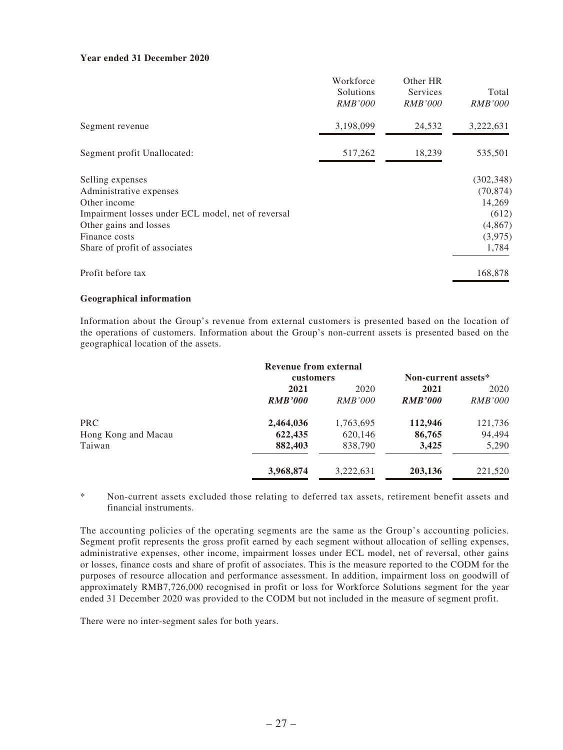### **Year ended 31 December 2020**

|                                                    | Workforce<br>Solutions<br><i>RMB'000</i> | Other HR<br>Services<br><i>RMB'000</i> | Total<br><i>RMB'000</i> |
|----------------------------------------------------|------------------------------------------|----------------------------------------|-------------------------|
| Segment revenue                                    | 3,198,099                                | 24,532                                 | 3,222,631               |
| Segment profit Unallocated:                        | 517,262                                  | 18,239                                 | 535,501                 |
| Selling expenses                                   |                                          |                                        | (302, 348)              |
| Administrative expenses                            |                                          |                                        | (70, 874)               |
| Other income                                       |                                          |                                        | 14,269                  |
| Impairment losses under ECL model, net of reversal |                                          |                                        | (612)                   |
| Other gains and losses                             |                                          |                                        | (4, 867)                |
| Finance costs                                      |                                          |                                        | (3,975)                 |
| Share of profit of associates                      |                                          |                                        | 1,784                   |
| Profit before tax                                  |                                          |                                        | 168,878                 |

### **Geographical information**

Information about the Group's revenue from external customers is presented based on the location of the operations of customers. Information about the Group's non-current assets is presented based on the geographical location of the assets.

|                     | Revenue from external |                |                     |                |
|---------------------|-----------------------|----------------|---------------------|----------------|
|                     | customers             |                | Non-current assets* |                |
|                     | 2021                  | 2020           | 2021                | 2020           |
|                     | <b>RMB'000</b>        | <i>RMB'000</i> | <b>RMB'000</b>      | <i>RMB'000</i> |
| PRC                 | 2,464,036             | 1,763,695      | 112,946             | 121,736        |
| Hong Kong and Macau | 622,435               | 620,146        | 86,765              | 94,494         |
| Taiwan              | 882,403               | 838,790        | 3,425               | 5,290          |
|                     | 3,968,874             | 3,222,631      | 203,136             | 221,520        |

\* Non-current assets excluded those relating to deferred tax assets, retirement benefit assets and financial instruments.

The accounting policies of the operating segments are the same as the Group's accounting policies. Segment profit represents the gross profit earned by each segment without allocation of selling expenses, administrative expenses, other income, impairment losses under ECL model, net of reversal, other gains or losses, finance costs and share of profit of associates. This is the measure reported to the CODM for the purposes of resource allocation and performance assessment. In addition, impairment loss on goodwill of approximately RMB7,726,000 recognised in profit or loss for Workforce Solutions segment for the year ended 31 December 2020 was provided to the CODM but not included in the measure of segment profit.

There were no inter-segment sales for both years.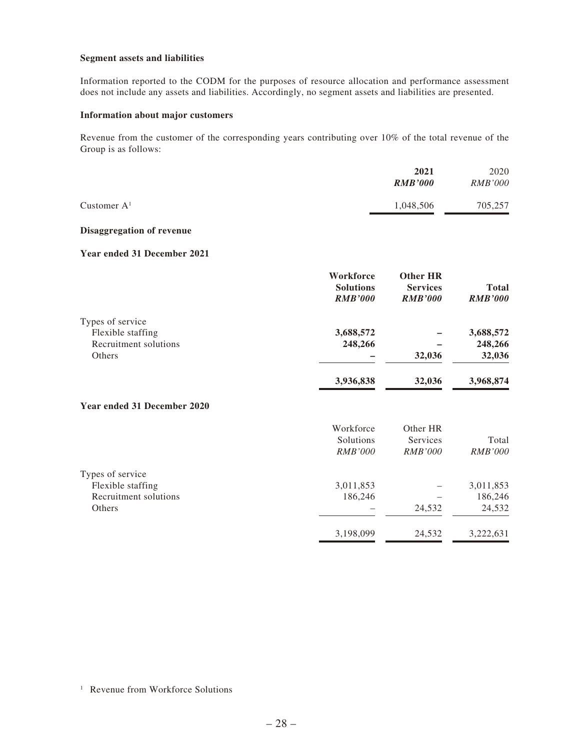### **Segment assets and liabilities**

Information reported to the CODM for the purposes of resource allocation and performance assessment does not include any assets and liabilities. Accordingly, no segment assets and liabilities are presented.

#### **Information about major customers**

Revenue from the customer of the corresponding years contributing over 10% of the total revenue of the Group is as follows:

|                | 2021           | 2020           |
|----------------|----------------|----------------|
|                | <b>RMB'000</b> | <b>RMB'000</b> |
| Customer $A^1$ | 1,048,506      | 705,257        |

#### **Disaggregation of revenue**

### **Year ended 31 December 2021**

|                             | Workforce        | <b>Other HR</b> |                |
|-----------------------------|------------------|-----------------|----------------|
|                             | <b>Solutions</b> | <b>Services</b> | <b>Total</b>   |
|                             | <b>RMB'000</b>   | <b>RMB'000</b>  | <b>RMB'000</b> |
| Types of service            |                  |                 |                |
| Flexible staffing           | 3,688,572        |                 | 3,688,572      |
| Recruitment solutions       | 248,266          |                 | 248,266        |
| Others                      |                  | 32,036          | 32,036         |
|                             | 3,936,838        | 32,036          | 3,968,874      |
| Year ended 31 December 2020 |                  |                 |                |
|                             | Workforce        | Other HR        |                |
|                             | Solutions        | Services        | Total          |
|                             | <b>RMB'000</b>   | <b>RMB'000</b>  | <b>RMB'000</b> |
| Types of service            |                  |                 |                |
| Flexible staffing           | 3,011,853        |                 | 3,011,853      |
| Recruitment solutions       | 186,246          |                 | 186,246        |
| Others                      |                  | 24,532          | 24,532         |
|                             | 3,198,099        | 24,532          | 3,222,631      |

<sup>1</sup> Revenue from Workforce Solutions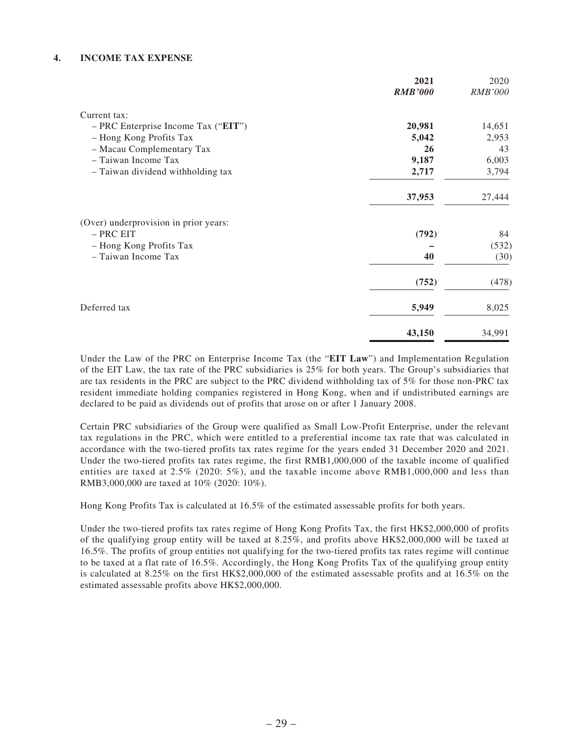### **4. INCOME TAX EXPENSE**

|                                       | 2021           | 2020           |
|---------------------------------------|----------------|----------------|
|                                       | <b>RMB'000</b> | <b>RMB'000</b> |
| Current tax:                          |                |                |
| - PRC Enterprise Income Tax ("EIT")   | 20,981         | 14,651         |
| - Hong Kong Profits Tax               | 5,042          | 2,953          |
| - Macau Complementary Tax             | 26             | 43             |
| - Taiwan Income Tax                   | 9,187          | 6,003          |
| - Taiwan dividend withholding tax     | 2,717          | 3,794          |
|                                       | 37,953         | 27,444         |
| (Over) underprovision in prior years: |                |                |
| - PRC EIT                             | (792)          | 84             |
| - Hong Kong Profits Tax               |                | (532)          |
| - Taiwan Income Tax                   | 40             | (30)           |
|                                       | (752)          | (478)          |
| Deferred tax                          | 5,949          | 8,025          |
|                                       | 43,150         | 34,991         |

Under the Law of the PRC on Enterprise Income Tax (the "**EIT Law**") and Implementation Regulation of the EIT Law, the tax rate of the PRC subsidiaries is 25% for both years. The Group's subsidiaries that are tax residents in the PRC are subject to the PRC dividend withholding tax of 5% for those non-PRC tax resident immediate holding companies registered in Hong Kong, when and if undistributed earnings are declared to be paid as dividends out of profits that arose on or after 1 January 2008.

Certain PRC subsidiaries of the Group were qualified as Small Low-Profit Enterprise, under the relevant tax regulations in the PRC, which were entitled to a preferential income tax rate that was calculated in accordance with the two-tiered profits tax rates regime for the years ended 31 December 2020 and 2021. Under the two-tiered profits tax rates regime, the first RMB1,000,000 of the taxable income of qualified entities are taxed at 2.5% (2020: 5%), and the taxable income above RMB1,000,000 and less than RMB3,000,000 are taxed at 10% (2020: 10%).

Hong Kong Profits Tax is calculated at 16.5% of the estimated assessable profits for both years.

Under the two-tiered profits tax rates regime of Hong Kong Profits Tax, the first HK\$2,000,000 of profits of the qualifying group entity will be taxed at 8.25%, and profits above HK\$2,000,000 will be taxed at 16.5%. The profits of group entities not qualifying for the two-tiered profits tax rates regime will continue to be taxed at a flat rate of 16.5%. Accordingly, the Hong Kong Profits Tax of the qualifying group entity is calculated at 8.25% on the first HK\$2,000,000 of the estimated assessable profits and at 16.5% on the estimated assessable profits above HK\$2,000,000.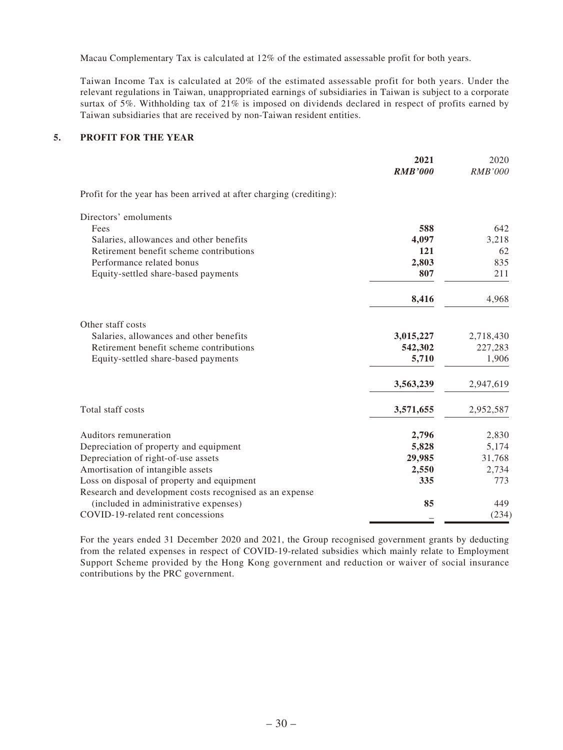Macau Complementary Tax is calculated at 12% of the estimated assessable profit for both years.

Taiwan Income Tax is calculated at 20% of the estimated assessable profit for both years. Under the relevant regulations in Taiwan, unappropriated earnings of subsidiaries in Taiwan is subject to a corporate surtax of 5%. Withholding tax of 21% is imposed on dividends declared in respect of profits earned by Taiwan subsidiaries that are received by non-Taiwan resident entities.

### **5. PROFIT FOR THE YEAR**

|                                                                     | 2021<br><b>RMB'000</b> | 2020<br><i>RMB'000</i> |
|---------------------------------------------------------------------|------------------------|------------------------|
| Profit for the year has been arrived at after charging (crediting): |                        |                        |
| Directors' emoluments                                               |                        |                        |
| Fees                                                                | 588                    | 642                    |
| Salaries, allowances and other benefits                             | 4,097                  | 3,218                  |
| Retirement benefit scheme contributions                             | 121                    | 62                     |
| Performance related bonus                                           | 2,803                  | 835                    |
| Equity-settled share-based payments                                 | 807                    | 211                    |
|                                                                     | 8,416                  | 4,968                  |
| Other staff costs                                                   |                        |                        |
| Salaries, allowances and other benefits                             | 3,015,227              | 2,718,430              |
| Retirement benefit scheme contributions                             | 542,302                | 227,283                |
| Equity-settled share-based payments                                 | 5,710                  | 1,906                  |
|                                                                     | 3,563,239              | 2,947,619              |
| Total staff costs                                                   | 3,571,655              | 2,952,587              |
| Auditors remuneration                                               | 2,796                  | 2,830                  |
| Depreciation of property and equipment                              | 5,828                  | 5,174                  |
| Depreciation of right-of-use assets                                 | 29,985                 | 31,768                 |
| Amortisation of intangible assets                                   | 2,550                  | 2,734                  |
| Loss on disposal of property and equipment                          | 335                    | 773                    |
| Research and development costs recognised as an expense             |                        |                        |
| (included in administrative expenses)                               | 85                     | 449                    |
| COVID-19-related rent concessions                                   |                        | (234)                  |

For the years ended 31 December 2020 and 2021, the Group recognised government grants by deducting from the related expenses in respect of COVID-19-related subsidies which mainly relate to Employment Support Scheme provided by the Hong Kong government and reduction or waiver of social insurance contributions by the PRC government.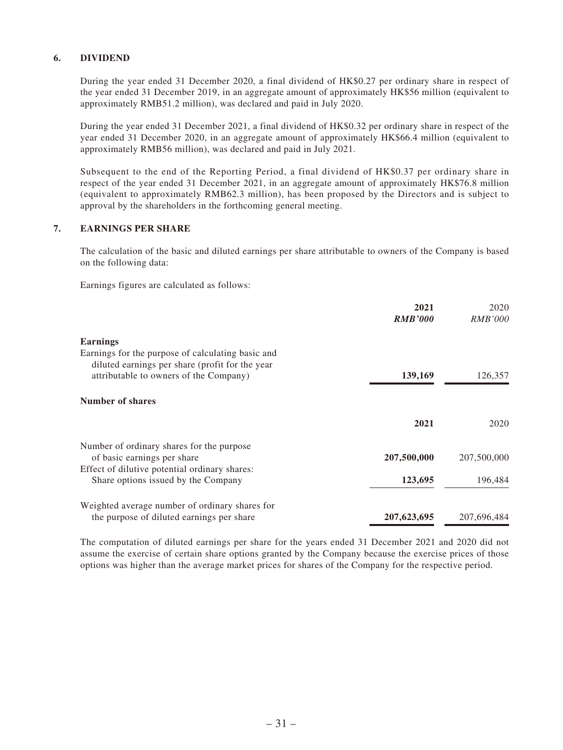### **6. DIVIDEND**

During the year ended 31 December 2020, a final dividend of HK\$0.27 per ordinary share in respect of the year ended 31 December 2019, in an aggregate amount of approximately HK\$56 million (equivalent to approximately RMB51.2 million), was declared and paid in July 2020.

During the year ended 31 December 2021, a final dividend of HK\$0.32 per ordinary share in respect of the year ended 31 December 2020, in an aggregate amount of approximately HK\$66.4 million (equivalent to approximately RMB56 million), was declared and paid in July 2021.

Subsequent to the end of the Reporting Period, a final dividend of HK\$0.37 per ordinary share in respect of the year ended 31 December 2021, in an aggregate amount of approximately HK\$76.8 million (equivalent to approximately RMB62.3 million), has been proposed by the Directors and is subject to approval by the shareholders in the forthcoming general meeting.

### **7. EARNINGS PER SHARE**

The calculation of the basic and diluted earnings per share attributable to owners of the Company is based on the following data:

Earnings figures are calculated as follows:

|                                                                                           | 2021<br><b>RMB'000</b> | 2020<br><i>RMB'000</i> |
|-------------------------------------------------------------------------------------------|------------------------|------------------------|
| <b>Earnings</b>                                                                           |                        |                        |
| Earnings for the purpose of calculating basic and                                         |                        |                        |
| diluted earnings per share (profit for the year<br>attributable to owners of the Company) | 139,169                | 126,357                |
| <b>Number of shares</b>                                                                   |                        |                        |
|                                                                                           | 2021                   | 2020                   |
| Number of ordinary shares for the purpose                                                 |                        |                        |
| of basic earnings per share                                                               | 207,500,000            | 207,500,000            |
| Effect of dilutive potential ordinary shares:                                             |                        |                        |
| Share options issued by the Company                                                       | 123,695                | 196,484                |
| Weighted average number of ordinary shares for                                            |                        |                        |
| the purpose of diluted earnings per share                                                 | 207,623,695            | 207,696,484            |

The computation of diluted earnings per share for the years ended 31 December 2021 and 2020 did not assume the exercise of certain share options granted by the Company because the exercise prices of those options was higher than the average market prices for shares of the Company for the respective period.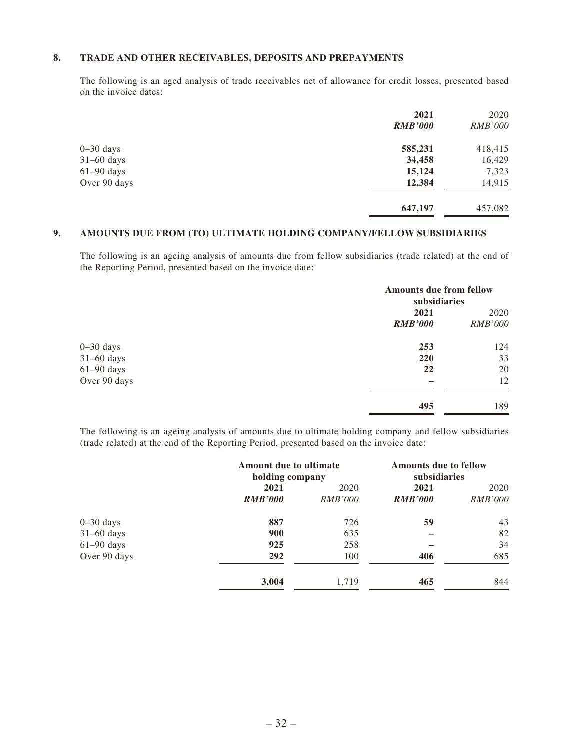### **8. TRADE AND OTHER RECEIVABLES, DEPOSITS AND PREPAYMENTS**

The following is an aged analysis of trade receivables net of allowance for credit losses, presented based on the invoice dates:

|              | 2021           | 2020           |
|--------------|----------------|----------------|
|              | <b>RMB'000</b> | <i>RMB'000</i> |
| $0-30$ days  | 585,231        | 418,415        |
| $31-60$ days | 34,458         | 16,429         |
| $61-90$ days | 15,124         | 7,323          |
| Over 90 days | 12,384         | 14,915         |
|              | 647,197        | 457,082        |

### **9. AMOUNTS DUE FROM (TO) ULTIMATE HOLDING COMPANY/FELLOW SUBSIDIARIES**

The following is an ageing analysis of amounts due from fellow subsidiaries (trade related) at the end of the Reporting Period, presented based on the invoice date:

|               |                | <b>Amounts due from fellow</b><br>subsidiaries |  |
|---------------|----------------|------------------------------------------------|--|
|               | 2021           | 2020                                           |  |
|               | <b>RMB'000</b> | <i>RMB'000</i>                                 |  |
| $0 - 30$ days | 253            | 124                                            |  |
| $31-60$ days  | 220            | 33                                             |  |
| $61-90$ days  | 22             | 20                                             |  |
| Over 90 days  | -              | 12                                             |  |
|               | 495            | 189                                            |  |

The following is an ageing analysis of amounts due to ultimate holding company and fellow subsidiaries (trade related) at the end of the Reporting Period, presented based on the invoice date:

|              | <b>Amount due to ultimate</b><br>holding company |                | <b>Amounts due to fellow</b><br>subsidiaries |                |
|--------------|--------------------------------------------------|----------------|----------------------------------------------|----------------|
|              | 2021                                             | 2020           | 2021                                         | 2020           |
|              | <b>RMB'000</b>                                   | <i>RMB'000</i> | <b>RMB'000</b>                               | <i>RMB'000</i> |
| $0-30$ days  | 887                                              | 726            | 59                                           | 43             |
| $31-60$ days | 900                                              | 635            |                                              | 82             |
| $61-90$ days | 925                                              | 258            |                                              | 34             |
| Over 90 days | 292                                              | 100            | 406                                          | 685            |
|              | 3,004                                            | 1,719          | 465                                          | 844            |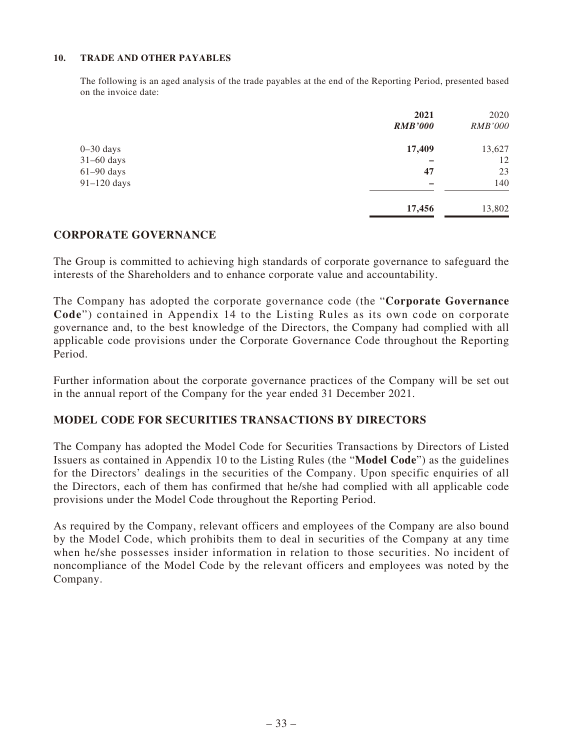### **10. TRADE AND OTHER PAYABLES**

The following is an aged analysis of the trade payables at the end of the Reporting Period, presented based on the invoice date:

|               | 2021           | 2020           |
|---------------|----------------|----------------|
|               | <b>RMB'000</b> | <i>RMB'000</i> |
| $0 - 30$ days | 17,409         | 13,627         |
| $31-60$ days  |                | 12             |
| $61-90$ days  | 47             | 23             |
| $91-120$ days |                | 140            |
|               | 17,456         | 13,802         |

## **CORPORATE GOVERNANCE**

The Group is committed to achieving high standards of corporate governance to safeguard the interests of the Shareholders and to enhance corporate value and accountability.

The Company has adopted the corporate governance code (the "**Corporate Governance Code**") contained in Appendix 14 to the Listing Rules as its own code on corporate governance and, to the best knowledge of the Directors, the Company had complied with all applicable code provisions under the Corporate Governance Code throughout the Reporting Period.

Further information about the corporate governance practices of the Company will be set out in the annual report of the Company for the year ended 31 December 2021.

# **MODEL CODE FOR SECURITIES TRANSACTIONS BY DIRECTORS**

The Company has adopted the Model Code for Securities Transactions by Directors of Listed Issuers as contained in Appendix 10 to the Listing Rules (the "**Model Code**") as the guidelines for the Directors' dealings in the securities of the Company. Upon specific enquiries of all the Directors, each of them has confirmed that he/she had complied with all applicable code provisions under the Model Code throughout the Reporting Period.

As required by the Company, relevant officers and employees of the Company are also bound by the Model Code, which prohibits them to deal in securities of the Company at any time when he/she possesses insider information in relation to those securities. No incident of noncompliance of the Model Code by the relevant officers and employees was noted by the Company.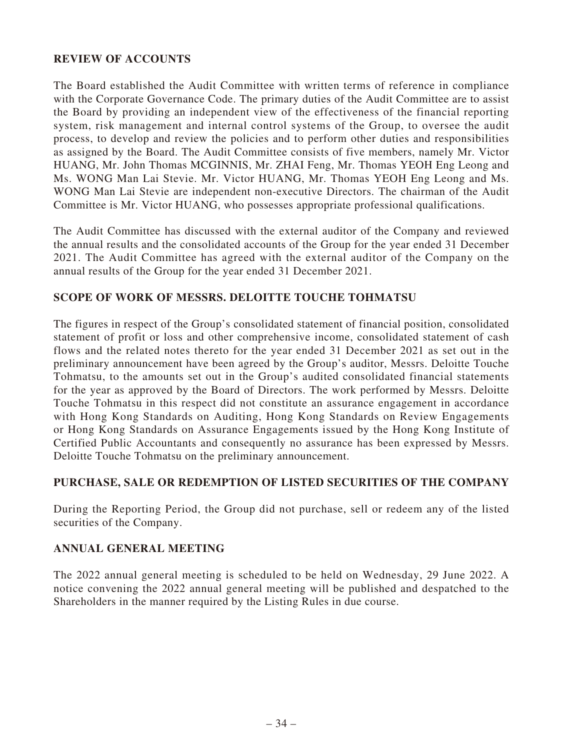# **REVIEW OF ACCOUNTS**

The Board established the Audit Committee with written terms of reference in compliance with the Corporate Governance Code. The primary duties of the Audit Committee are to assist the Board by providing an independent view of the effectiveness of the financial reporting system, risk management and internal control systems of the Group, to oversee the audit process, to develop and review the policies and to perform other duties and responsibilities as assigned by the Board. The Audit Committee consists of five members, namely Mr. Victor HUANG, Mr. John Thomas MCGINNIS, Mr. ZHAI Feng, Mr. Thomas YEOH Eng Leong and Ms. WONG Man Lai Stevie. Mr. Victor HUANG, Mr. Thomas YEOH Eng Leong and Ms. WONG Man Lai Stevie are independent non-executive Directors. The chairman of the Audit Committee is Mr. Victor HUANG, who possesses appropriate professional qualifications.

The Audit Committee has discussed with the external auditor of the Company and reviewed the annual results and the consolidated accounts of the Group for the year ended 31 December 2021. The Audit Committee has agreed with the external auditor of the Company on the annual results of the Group for the year ended 31 December 2021.

# **SCOPE OF WORK OF MESSRS. DELOITTE TOUCHE TOHMATSU**

The figures in respect of the Group's consolidated statement of financial position, consolidated statement of profit or loss and other comprehensive income, consolidated statement of cash flows and the related notes thereto for the year ended 31 December 2021 as set out in the preliminary announcement have been agreed by the Group's auditor, Messrs. Deloitte Touche Tohmatsu, to the amounts set out in the Group's audited consolidated financial statements for the year as approved by the Board of Directors. The work performed by Messrs. Deloitte Touche Tohmatsu in this respect did not constitute an assurance engagement in accordance with Hong Kong Standards on Auditing, Hong Kong Standards on Review Engagements or Hong Kong Standards on Assurance Engagements issued by the Hong Kong Institute of Certified Public Accountants and consequently no assurance has been expressed by Messrs. Deloitte Touche Tohmatsu on the preliminary announcement.

## **PURCHASE, SALE OR REDEMPTION OF LISTED SECURITIES OF THE COMPANY**

During the Reporting Period, the Group did not purchase, sell or redeem any of the listed securities of the Company.

## **ANNUAL GENERAL MEETING**

The 2022 annual general meeting is scheduled to be held on Wednesday, 29 June 2022. A notice convening the 2022 annual general meeting will be published and despatched to the Shareholders in the manner required by the Listing Rules in due course.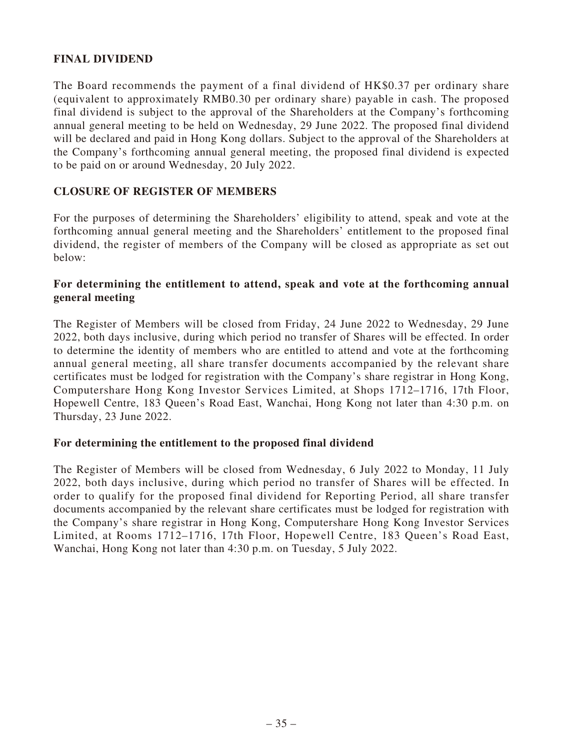# **FINAL DIVIDEND**

The Board recommends the payment of a final dividend of HK\$0.37 per ordinary share (equivalent to approximately RMB0.30 per ordinary share) payable in cash. The proposed final dividend is subject to the approval of the Shareholders at the Company's forthcoming annual general meeting to be held on Wednesday, 29 June 2022. The proposed final dividend will be declared and paid in Hong Kong dollars. Subject to the approval of the Shareholders at the Company's forthcoming annual general meeting, the proposed final dividend is expected to be paid on or around Wednesday, 20 July 2022.

## **CLOSURE OF REGISTER OF MEMBERS**

For the purposes of determining the Shareholders' eligibility to attend, speak and vote at the forthcoming annual general meeting and the Shareholders' entitlement to the proposed final dividend, the register of members of the Company will be closed as appropriate as set out below:

## **For determining the entitlement to attend, speak and vote at the forthcoming annual general meeting**

The Register of Members will be closed from Friday, 24 June 2022 to Wednesday, 29 June 2022, both days inclusive, during which period no transfer of Shares will be effected. In order to determine the identity of members who are entitled to attend and vote at the forthcoming annual general meeting, all share transfer documents accompanied by the relevant share certificates must be lodged for registration with the Company's share registrar in Hong Kong, Computershare Hong Kong Investor Services Limited, at Shops 1712–1716, 17th Floor, Hopewell Centre, 183 Queen's Road East, Wanchai, Hong Kong not later than 4:30 p.m. on Thursday, 23 June 2022.

## **For determining the entitlement to the proposed final dividend**

The Register of Members will be closed from Wednesday, 6 July 2022 to Monday, 11 July 2022, both days inclusive, during which period no transfer of Shares will be effected. In order to qualify for the proposed final dividend for Reporting Period, all share transfer documents accompanied by the relevant share certificates must be lodged for registration with the Company's share registrar in Hong Kong, Computershare Hong Kong Investor Services Limited, at Rooms 1712–1716, 17th Floor, Hopewell Centre, 183 Queen's Road East, Wanchai, Hong Kong not later than 4:30 p.m. on Tuesday, 5 July 2022.